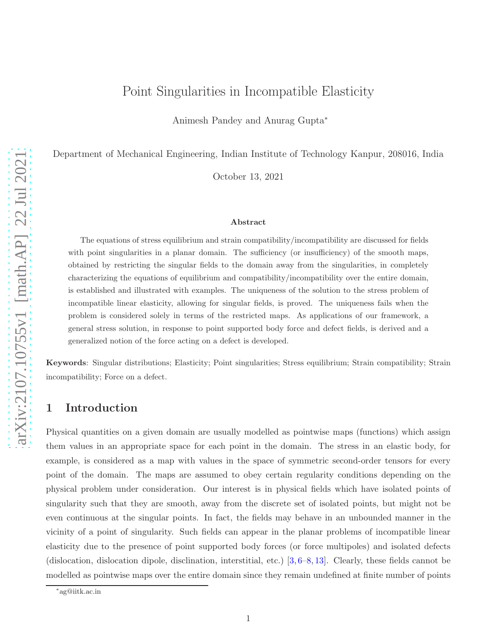# Point Singularities in Incompatible Elasticity

Animesh Pandey and Anurag Gupta<sup>∗</sup>

Department of Mechanical Engineering, Indian Institute of Technology Kanpur, 208016, India

October 13, 2021

#### Abstract

The equations of stress equilibrium and strain compatibility/incompatibility are discussed for fields with point singularities in a planar domain. The sufficiency (or insufficiency) of the smooth maps, obtained by restricting the singular fields to the domain away from the singularities, in completely characterizing the equations of equilibrium and compatibility/incompatibility over the entire domain, is established and illustrated with examples. The uniqueness of the solution to the stress problem of incompatible linear elasticity, allowing for singular fields, is proved. The uniqueness fails when the problem is considered solely in terms of the restricted maps. As applications of our framework, a general stress solution, in response to point supported body force and defect fields, is derived and a generalized notion of the force acting on a defect is developed.

Keywords: Singular distributions; Elasticity; Point singularities; Stress equilibrium; Strain compatibility; Strain incompatibility; Force on a defect.

# 1 Introduction

Physical quantities on a given domain are usually modelled as pointwise maps (functions) which assign them values in an appropriate space for each point in the domain. The stress in an elastic body, for example, is considered as a map with values in the space of symmetric second-order tensors for every point of the domain. The maps are assumed to obey certain regularity conditions depending on the physical problem under consideration. Our interest is in physical fields which have isolated points of singularity such that they are smooth, away from the discrete set of isolated points, but might not be even continuous at the singular points. In fact, the fields may behave in an unbounded manner in the vicinity of a point of singularity. Such fields can appear in the planar problems of incompatible linear elasticity due to the presence of point supported body forces (or force multipoles) and isolated defects (dislocation, dislocation dipole, disclination, interstitial, etc.) [\[3,](#page-27-0) [6](#page-27-1)[–8,](#page-27-2) [13\]](#page-27-3). Clearly, these fields cannot be modelled as pointwise maps over the entire domain since they remain undefined at finite number of points

<sup>∗</sup> ag@iitk.ac.in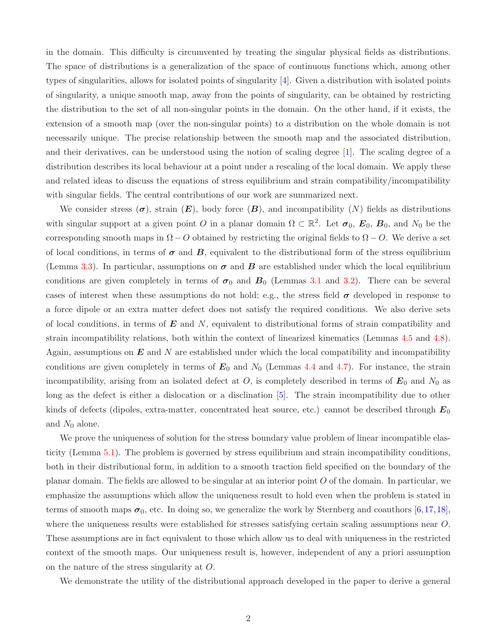in the domain. This difficulty is circumvented by treating the singular physical fields as distributions. The space of distributions is a generalization of the space of continuous functions which, among other types of singularities, allows for isolated points of singularity [\[4\]](#page-27-4). Given a distribution with isolated points of singularity, a unique smooth map, away from the points of singularity, can be obtained by restricting the distribution to the set of all non-singular points in the domain. On the other hand, if it exists, the extension of a smooth map (over the non-singular points) to a distribution on the whole domain is not necessarily unique. The precise relationship between the smooth map and the associated distribution, and their derivatives, can be understood using the notion of scaling degree [\[1\]](#page-26-0). The scaling degree of a distribution describes its local behaviour at a point under a rescaling of the local domain. We apply these and related ideas to discuss the equations of stress equilibrium and strain compatibility/incompatibility with singular fields. The central contributions of our work are summarized next.

We consider stress  $(\sigma)$ , strain  $(E)$ , body force  $(B)$ , and incompatibility  $(N)$  fields as distributions with singular support at a given point O in a planar domain  $\Omega \subset \mathbb{R}^2$ . Let  $\sigma_0$ ,  $E_0$ ,  $B_0$ , and  $N_0$  be the corresponding smooth maps in  $\Omega$  − O obtained by restricting the original fields to  $\Omega$  − O. We derive a set of local conditions, in terms of  $\sigma$  and  $B$ , equivalent to the distributional form of the stress equilibrium (Lemma [3.3\)](#page-13-0). In particular, assumptions on  $\sigma$  and  $B$  are established under which the local equilibrium conditions are given completely in terms of  $\sigma_0$  and  $B_0$  (Lemmas [3.1](#page-11-0) and [3.2\)](#page-11-1). There can be several cases of interest when these assumptions do not hold; e.g., the stress field  $\sigma$  developed in response to a force dipole or an extra matter defect does not satisfy the required conditions. We also derive sets of local conditions, in terms of  $\bm{E}$  and  $N$ , equivalent to distributional forms of strain compatibility and strain incompatibility relations, both within the context of linearized kinematics (Lemmas [4.5](#page-15-0) and [4.8\)](#page-17-0). Again, assumptions on  $E$  and N are established under which the local compatibility and incompatibility conditions are given completely in terms of  $E_0$  and  $N_0$  (Lemmas [4.4](#page-14-0) and [4.7\)](#page-16-0). For instance, the strain incompatibility, arising from an isolated defect at  $O$ , is completely described in terms of  $E_0$  and  $N_0$  as long as the defect is either a dislocation or a disclination [\[5\]](#page-27-5). The strain incompatibility due to other kinds of defects (dipoles, extra-matter, concentrated heat source, etc.) cannot be described through  $E_0$ and  $N_0$  alone.

We prove the uniqueness of solution for the stress boundary value problem of linear incompatible elasticity (Lemma [5.1\)](#page-19-0). The problem is governed by stress equilibrium and strain incompatibility conditions, both in their distributional form, in addition to a smooth traction field specified on the boundary of the planar domain. The fields are allowed to be singular at an interior point O of the domain. In particular, we emphasize the assumptions which allow the uniqueness result to hold even when the problem is stated in terms of smooth maps  $\sigma_0$ , etc. In doing so, we generalize the work by Sternberg and coauthors [\[6,](#page-27-1)[17,](#page-27-6)[18\]](#page-27-7), where the uniqueness results were established for stresses satisfying certain scaling assumptions near O. These assumptions are in fact equivalent to those which allow us to deal with uniqueness in the restricted context of the smooth maps. Our uniqueness result is, however, independent of any a priori assumption on the nature of the stress singularity at O.

We demonstrate the utility of the distributional approach developed in the paper to derive a general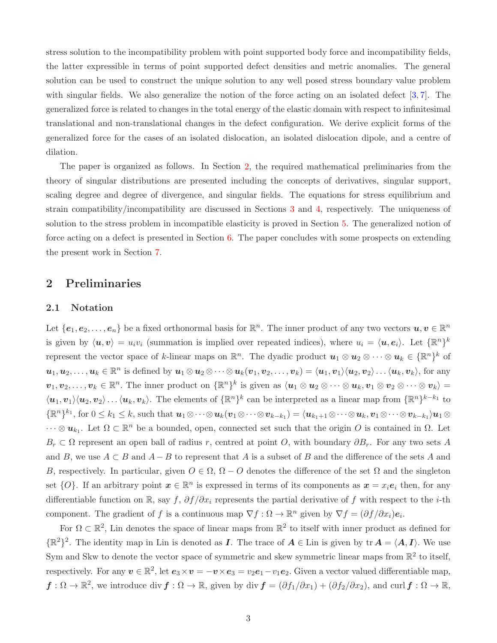stress solution to the incompatibility problem with point supported body force and incompatibility fields, the latter expressible in terms of point supported defect densities and metric anomalies. The general solution can be used to construct the unique solution to any well posed stress boundary value problem with singular fields. We also generalize the notion of the force acting on an isolated defect  $[3, 7]$  $[3, 7]$ . The generalized force is related to changes in the total energy of the elastic domain with respect to infinitesimal translational and non-translational changes in the defect configuration. We derive explicit forms of the generalized force for the cases of an isolated dislocation, an isolated dislocation dipole, and a centre of dilation.

The paper is organized as follows. In Section [2,](#page-2-0) the required mathematical preliminaries from the theory of singular distributions are presented including the concepts of derivatives, singular support, scaling degree and degree of divergence, and singular fields. The equations for stress equilibrium and strain compatibility/incompatibility are discussed in Sections [3](#page-10-0) and [4,](#page-13-1) respectively. The uniqueness of solution to the stress problem in incompatible elasticity is proved in Section [5.](#page-18-0) The generalized notion of force acting on a defect is presented in Section [6.](#page-21-0) The paper concludes with some prospects on extending the present work in Section [7.](#page-24-0)

# <span id="page-2-1"></span><span id="page-2-0"></span>2 Preliminaries

### 2.1 Notation

Let  $\{e_1, e_2, \ldots, e_n\}$  be a fixed orthonormal basis for  $\mathbb{R}^n$ . The inner product of any two vectors  $u, v \in \mathbb{R}^n$ is given by  $\langle u, v \rangle = u_i v_i$  (summation is implied over repeated indices), where  $u_i = \langle u, e_i \rangle$ . Let  $\{\mathbb{R}^n\}^k$ represent the vector space of k-linear maps on  $\mathbb{R}^n$ . The dyadic product  $u_1 \otimes u_2 \otimes \cdots \otimes u_k \in {\mathbb{R}}^n$  of  $u_1, u_2, \ldots, u_k \in \mathbb{R}^n$  is defined by  $u_1 \otimes u_2 \otimes \cdots \otimes u_k(v_1, v_2, \ldots, v_k) = \langle u_1, v_1 \rangle \langle u_2, v_2 \rangle \ldots \langle u_k, v_k \rangle$ , for any  $v_1, v_2, \ldots, v_k \in \mathbb{R}^n$ . The inner product on  $\{\mathbb{R}^n\}^k$  is given as  $\langle u_1 \otimes u_2 \otimes \cdots \otimes u_k, v_1 \otimes v_2 \otimes \cdots \otimes v_k \rangle =$  $\langle u_1, v_1 \rangle \langle u_2, v_2 \rangle \dots \langle u_k, v_k \rangle$ . The elements of  $\{\mathbb{R}^n\}^k$  can be interpreted as a linear map from  $\{\mathbb{R}^n\}^{k-k_1}$  to  $\{\mathbb{R}^n\}^{k_1}$ , for  $0 \leq k_1 \leq k$ , such that  $\mathbf{u}_1 \otimes \cdots \otimes \mathbf{u}_k (\mathbf{v}_1 \otimes \cdots \otimes \mathbf{v}_{k-k_1}) = \langle \mathbf{u}_{k_1+1} \otimes \cdots \otimes \mathbf{u}_k, \mathbf{v}_1 \otimes \cdots \otimes \mathbf{v}_{k-k_1} \rangle \mathbf{u}_1 \otimes \cdots \otimes \mathbf{u}_k$  $\cdots \otimes u_{k_1}$ . Let  $\Omega \subset \mathbb{R}^n$  be a bounded, open, connected set such that the origin O is contained in  $\Omega$ . Let  $B_r \subset \Omega$  represent an open ball of radius r, centred at point O, with boundary  $\partial B_r$ . For any two sets A and B, we use  $A \subset B$  and  $A - B$  to represent that A is a subset of B and the difference of the sets A and B, respectively. In particular, given  $O \in \Omega$ ,  $\Omega - O$  denotes the difference of the set  $\Omega$  and the singleton set  $\{O\}$ . If an arbitrary point  $\boldsymbol{x} \in \mathbb{R}^n$  is expressed in terms of its components as  $\boldsymbol{x} = x_i e_i$  then, for any differentiable function on R, say f,  $\partial f/\partial x_i$  represents the partial derivative of f with respect to the *i*-th component. The gradient of f is a continuous map  $\nabla f : \Omega \to \mathbb{R}^n$  given by  $\nabla f = (\partial f / \partial x_i) e_i$ .

For  $\Omega \subset \mathbb{R}^2$ , Lin denotes the space of linear maps from  $\mathbb{R}^2$  to itself with inner product as defined for  $\{\mathbb{R}^2\}^2$ . The identity map in Lin is denoted as I. The trace of  $A \in$  Lin is given by  $\text{tr } A = \langle A, I \rangle$ . We use Sym and Skw to denote the vector space of symmetric and skew symmetric linear maps from  $\mathbb{R}^2$  to itself, respectively. For any  $v \in \mathbb{R}^2$ , let  $e_3 \times v = -v \times e_3 = v_2 e_1 - v_1 e_2$ . Given a vector valued differentiable map,  $f: \Omega \to \mathbb{R}^2$ , we introduce div  $f: \Omega \to \mathbb{R}$ , given by div  $f = (\partial f_1/\partial x_1) + (\partial f_2/\partial x_2)$ , and curl  $f: \Omega \to \mathbb{R}$ ,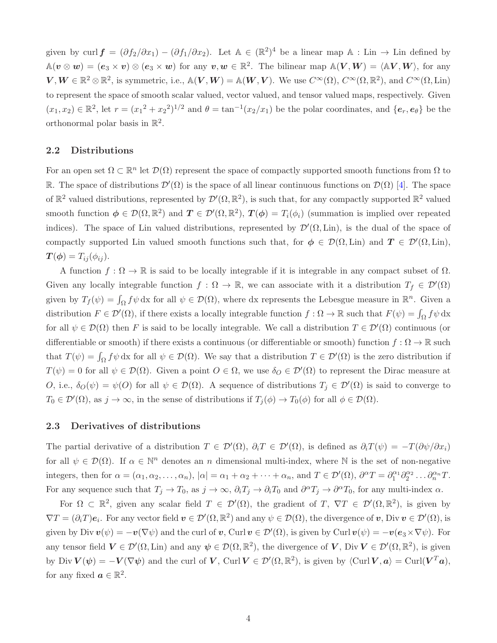given by curl  $\mathbf{f} = (\partial f_2/\partial x_1) - (\partial f_1/\partial x_2)$ . Let  $\mathbb{A} \in (\mathbb{R}^2)^4$  be a linear map  $\mathbb{A}$ : Lin  $\rightarrow$  Lin defined by  $\mathbb{A}(v \otimes w) = (e_3 \times v) \otimes (e_3 \times w)$  for any  $v, w \in \mathbb{R}^2$ . The bilinear map  $\mathbb{A}(V, W) = \langle \mathbb{A}V, W \rangle$ , for any  $V, W \in \mathbb{R}^2 \otimes \mathbb{R}^2$ , is symmetric, i.e.,  $\mathbb{A}(V, W) = \mathbb{A}(W, V)$ . We use  $C^{\infty}(\Omega), C^{\infty}(\Omega, \mathbb{R}^2)$ , and  $C^{\infty}(\Omega, \text{Lin})$ to represent the space of smooth scalar valued, vector valued, and tensor valued maps, respectively. Given  $(x_1, x_2) \in \mathbb{R}^2$ , let  $r = (x_1^2 + x_2^2)^{1/2}$  and  $\theta = \tan^{-1}(x_2/x_1)$  be the polar coordinates, and  $\{e_r, e_\theta\}$  be the orthonormal polar basis in  $\mathbb{R}^2$ .

### 2.2 Distributions

For an open set  $\Omega \subset \mathbb{R}^n$  let  $\mathcal{D}(\Omega)$  represent the space of compactly supported smooth functions from  $\Omega$  to R. The space of distributions  $\mathcal{D}'(\Omega)$  is the space of all linear continuous functions on  $\mathcal{D}(\Omega)$  [\[4\]](#page-27-4). The space of  $\mathbb{R}^2$  valued distributions, represented by  $\mathcal{D}'(\Omega,\mathbb{R}^2)$ , is such that, for any compactly supported  $\mathbb{R}^2$  valued smooth function  $\phi \in \mathcal{D}(\Omega,\mathbb{R}^2)$  and  $T \in \mathcal{D}'(\Omega,\mathbb{R}^2)$ ,  $T(\phi) = T_i(\phi_i)$  (summation is implied over repeated indices). The space of Lin valued distributions, represented by  $\mathcal{D}'(\Omega, \text{Lin})$ , is the dual of the space of compactly supported Lin valued smooth functions such that, for  $\phi \in \mathcal{D}(\Omega, \text{Lin})$  and  $T \in \mathcal{D}'(\Omega, \text{Lin})$ ,  $\mathbf{T}(\boldsymbol{\phi}) = T_{ij}(\phi_{ij}).$ 

A function  $f : \Omega \to \mathbb{R}$  is said to be locally integrable if it is integrable in any compact subset of  $\Omega$ . Given any locally integrable function  $f : \Omega \to \mathbb{R}$ , we can associate with it a distribution  $T_f \in \mathcal{D}'(\Omega)$ given by  $T_f(\psi) = \int_{\Omega} f \psi \, dx$  for all  $\psi \in \mathcal{D}(\Omega)$ , where dx represents the Lebesgue measure in  $\mathbb{R}^n$ . Given a distribution  $F \in \mathcal{D}'(\Omega)$ , if there exists a locally integrable function  $f: \Omega \to \mathbb{R}$  such that  $F(\psi) = \int_{\Omega} f \psi \, dx$ for all  $\psi \in \mathcal{D}(\Omega)$  then F is said to be locally integrable. We call a distribution  $T \in \mathcal{D}'(\Omega)$  continuous (or differentiable or smooth) if there exists a continuous (or differentiable or smooth) function  $f : \Omega \to \mathbb{R}$  such that  $T(\psi) = \int_{\Omega} f \psi \, dx$  for all  $\psi \in \mathcal{D}(\Omega)$ . We say that a distribution  $T \in \mathcal{D}'(\Omega)$  is the zero distribution if  $T(\psi) = 0$  for all  $\psi \in \mathcal{D}(\Omega)$ . Given a point  $O \in \Omega$ , we use  $\delta_O \in \mathcal{D}'(\Omega)$  to represent the Dirac measure at O, i.e.,  $\delta_O(\psi) = \psi(O)$  for all  $\psi \in \mathcal{D}(\Omega)$ . A sequence of distributions  $T_j \in \mathcal{D}'(\Omega)$  is said to converge to  $T_0 \in \mathcal{D}'(\Omega)$ , as  $j \to \infty$ , in the sense of distributions if  $T_j(\phi) \to T_0(\phi)$  for all  $\phi \in \mathcal{D}(\Omega)$ .

### 2.3 Derivatives of distributions

The partial derivative of a distribution  $T \in \mathcal{D}'(\Omega)$ ,  $\partial_i T \in \mathcal{D}'(\Omega)$ , is defined as  $\partial_i T(\psi) = -T(\partial \psi/\partial x_i)$ for all  $\psi \in \mathcal{D}(\Omega)$ . If  $\alpha \in \mathbb{N}^n$  denotes an n dimensional multi-index, where N is the set of non-negative integers, then for  $\alpha = (\alpha_1, \alpha_2, \dots, \alpha_n)$ ,  $|\alpha| = \alpha_1 + \alpha_2 + \dots + \alpha_n$ , and  $T \in \mathcal{D}'(\Omega)$ ,  $\partial^{\alpha}T = \partial_1^{\alpha_1} \partial_2^{\alpha_2} \dots \partial_n^{\alpha_n} T$ . For any sequence such that  $T_j \to T_0$ , as  $j \to \infty$ ,  $\partial_i T_j \to \partial_i T_0$  and  $\partial^\alpha T_j \to \partial^\alpha T_0$ , for any multi-index  $\alpha$ .

For  $\Omega \subset \mathbb{R}^2$ , given any scalar field  $T \in \mathcal{D}'(\Omega)$ , the gradient of  $T, \nabla T \in \mathcal{D}'(\Omega, \mathbb{R}^2)$ , is given by  $\nabla T = (\partial_i T) e_i$ . For any vector field  $\mathbf{v} \in \mathcal{D}'(\Omega, \mathbb{R}^2)$  and any  $\psi \in \mathcal{D}(\Omega)$ , the divergence of  $\mathbf{v}$ , Div  $\mathbf{v} \in \mathcal{D}'(\Omega)$ , is given by Div  $\mathbf{v}(\psi) = -\mathbf{v}(\nabla \psi)$  and the curl of  $\mathbf{v}$ , Curl  $\mathbf{v} \in \mathcal{D}'(\Omega)$ , is given by Curl  $\mathbf{v}(\psi) = -\mathbf{v}(\mathbf{e}_3 \times \nabla \psi)$ . For any tensor field  $V \in \mathcal{D}'(\Omega, \text{Lin})$  and any  $\psi \in \mathcal{D}(\Omega, \mathbb{R}^2)$ , the divergence of  $V$ , Div  $V \in \mathcal{D}'(\Omega, \mathbb{R}^2)$ , is given by Div  $V(\psi) = -V(\nabla \psi)$  and the curl of V, Curl  $V \in \mathcal{D}'(\Omega, \mathbb{R}^2)$ , is given by  $\langle \text{Curl }V, a \rangle = \text{Curl}(V^T a)$ , for any fixed  $a \in \mathbb{R}^2$ .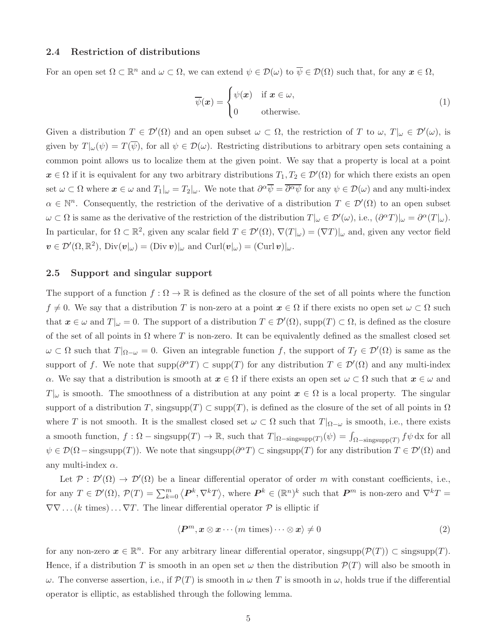### 2.4 Restriction of distributions

For an open set  $\Omega \subset \mathbb{R}^n$  and  $\omega \subset \Omega$ , we can extend  $\psi \in \mathcal{D}(\omega)$  to  $\overline{\psi} \in \mathcal{D}(\Omega)$  such that, for any  $\boldsymbol{x} \in \Omega$ ,

$$
\overline{\psi}(\boldsymbol{x}) = \begin{cases} \psi(\boldsymbol{x}) & \text{if } \boldsymbol{x} \in \omega, \\ 0 & \text{otherwise.} \end{cases}
$$
\n(1)

Given a distribution  $T \in \mathcal{D}'(\Omega)$  and an open subset  $\omega \subset \Omega$ , the restriction of T to  $\omega$ ,  $T|_{\omega} \in \mathcal{D}'(\omega)$ , is given by  $T|\omega(\psi) = T(\overline{\psi})$ , for all  $\psi \in \mathcal{D}(\omega)$ . Restricting distributions to arbitrary open sets containing a common point allows us to localize them at the given point. We say that a property is local at a point  $x \in \Omega$  if it is equivalent for any two arbitrary distributions  $T_1, T_2 \in \mathcal{D}'(\Omega)$  for which there exists an open set  $\omega \subset \Omega$  where  $\boldsymbol{x} \in \omega$  and  $T_1|_{\omega} = T_2|_{\omega}$ . We note that  $\partial^{\alpha} \overline{\psi} = \overline{\partial^{\alpha} \psi}$  for any  $\psi \in \mathcal{D}(\omega)$  and any multi-index  $\alpha \in \mathbb{N}^n$ . Consequently, the restriction of the derivative of a distribution  $T \in \mathcal{D}'(\Omega)$  to an open subset  $\omega \subset \Omega$  is same as the derivative of the restriction of the distribution  $T|_{\omega} \in \mathcal{D}'(\omega)$ , i.e.,  $(\partial^{\alpha}T)|_{\omega} = \partial^{\alpha}(T|_{\omega})$ . In particular, for  $\Omega \subset \mathbb{R}^2$ , given any scalar field  $T \in \mathcal{D}'(\Omega)$ ,  $\nabla(T|\omega) = (\nabla T)|_{\omega}$  and, given any vector field  $\mathbf{v} \in \mathcal{D}'(\Omega,\mathbb{R}^2)$ , Div $(\mathbf{v} |_{\omega}) = (\text{Div } \mathbf{v})|_{\omega}$  and  $\text{Curl}(\mathbf{v} |_{\omega}) = (\text{Curl } \mathbf{v})|_{\omega}$ .

### 2.5 Support and singular support

The support of a function  $f : \Omega \to \mathbb{R}$  is defined as the closure of the set of all points where the function  $f \neq 0$ . We say that a distribution T is non-zero at a point  $x \in \Omega$  if there exists no open set  $\omega \subset \Omega$  such that  $x \in \omega$  and  $T|\omega = 0$ . The support of a distribution  $T \in \mathcal{D}'(\Omega)$ , supp $(T) \subset \Omega$ , is defined as the closure of the set of all points in  $\Omega$  where T is non-zero. It can be equivalently defined as the smallest closed set  $\omega \subset \Omega$  such that  $T|_{\Omega-\omega}=0$ . Given an integrable function f, the support of  $T_f \in \mathcal{D}'(\Omega)$  is same as the support of f. We note that  $\text{supp}(\partial^{\alpha}T) \subset \text{supp}(T)$  for any distribution  $T \in \mathcal{D}'(\Omega)$  and any multi-index  $\alpha$ . We say that a distribution is smooth at  $x \in \Omega$  if there exists an open set  $\omega \subset \Omega$  such that  $x \in \omega$  and  $T|_{\omega}$  is smooth. The smoothness of a distribution at any point  $x \in \Omega$  is a local property. The singular support of a distribution T, singsupp(T)  $\subset$  supp(T), is defined as the closure of the set of all points in  $\Omega$ where T is not smooth. It is the smallest closed set  $\omega \subset \Omega$  such that  $T|_{\Omega-\omega}$  is smooth, i.e., there exists a smooth function,  $f: \Omega - \text{singsupp}(T) \to \mathbb{R}$ , such that  $T|_{\Omega-\text{singsupp}(T)}(\psi) = \int_{\Omega-\text{singsupp}(T)} f\psi \,dx$  for all  $\psi \in \mathcal{D}(\Omega-\text{singsupp}(T))$ . We note that singsupp $(\partial^{\alpha}T) \subset \text{singsupp}(T)$  for any distribution  $T \in \mathcal{D}'(\Omega)$  and any multi-index  $\alpha$ .

Let  $\mathcal{P}: \mathcal{D}'(\Omega) \to \mathcal{D}'(\Omega)$  be a linear differential operator of order m with constant coefficients, i.e., for any  $T \in \mathcal{D}'(\Omega)$ ,  $\mathcal{P}(T) = \sum_{k=0}^{m} \langle P^k, \nabla^k T \rangle$ , where  $P^k \in (\mathbb{R}^n)^k$  such that  $P^m$  is non-zero and  $\nabla^k T =$  $\nabla\nabla\ldots(k \text{ times})\ldots\nabla T$ . The linear differential operator  $P$  is elliptic if

$$
\langle \boldsymbol{P}^m, \boldsymbol{x} \otimes \boldsymbol{x} \cdots (m \text{ times}) \cdots \otimes \boldsymbol{x} \rangle \neq 0 \tag{2}
$$

for any non-zero  $x \in \mathbb{R}^n$ . For any arbitrary linear differential operator, singsupp $(\mathcal{P}(T)) \subset \text{singsupp}(T)$ . Hence, if a distribution T is smooth in an open set  $\omega$  then the distribution  $\mathcal{P}(T)$  will also be smooth in  $ω$ . The converse assertion, i.e., if  $\mathcal{P}(T)$  is smooth in  $ω$  then T is smooth in  $ω$ , holds true if the differential operator is elliptic, as established through the following lemma.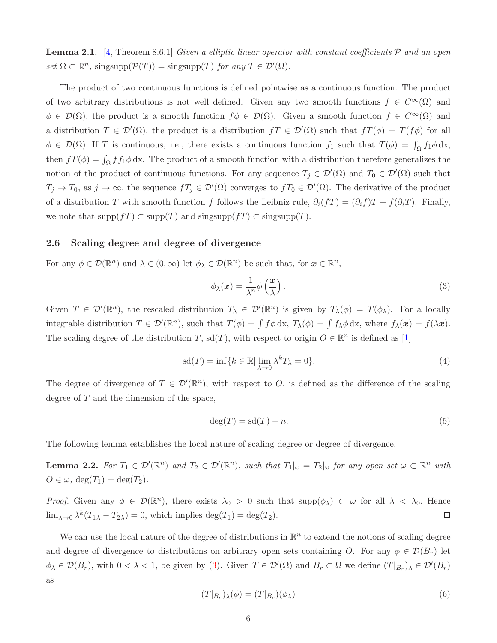<span id="page-5-3"></span>**Lemma 2.1.** [\[4,](#page-27-4) Theorem 8.6.1] Given a elliptic linear operator with constant coefficients  $P$  and an open set  $\Omega \subset \mathbb{R}^n$ , singsupp $(\mathcal{P}(T)) = \text{singsupp}(T)$  for any  $T \in \mathcal{D}'(\Omega)$ .

The product of two continuous functions is defined pointwise as a continuous function. The product of two arbitrary distributions is not well defined. Given any two smooth functions  $f \in C^{\infty}(\Omega)$  and  $\phi \in \mathcal{D}(\Omega)$ , the product is a smooth function  $f \phi \in \mathcal{D}(\Omega)$ . Given a smooth function  $f \in C^{\infty}(\Omega)$  and a distribution  $T \in \mathcal{D}'(\Omega)$ , the product is a distribution  $fT \in \mathcal{D}'(\Omega)$  such that  $fT(\phi) = T(f\phi)$  for all  $\phi \in \mathcal{D}(\Omega)$ . If T is continuous, i.e., there exists a continuous function  $f_1$  such that  $T(\phi) = \int_{\Omega} f_1 \phi \, dx$ , then  $fT(\phi) = \int_{\Omega} f f_1 \phi \, dx$ . The product of a smooth function with a distribution therefore generalizes the notion of the product of continuous functions. For any sequence  $T_j \in \mathcal{D}'(\Omega)$  and  $T_0 \in \mathcal{D}'(\Omega)$  such that  $T_j \to T_0$ , as  $j \to \infty$ , the sequence  $fT_j \in \mathcal{D}'(\Omega)$  converges to  $fT_0 \in \mathcal{D}'(\Omega)$ . The derivative of the product of a distribution T with smooth function f follows the Leibniz rule,  $\partial_i(fT) = (\partial_i f)T + f(\partial_i T)$ . Finally, we note that  $\text{supp}(f) \subset \text{supp}(T)$  and  $\text{singsupp}(f) \subset \text{singsupp}(T)$ .

### <span id="page-5-2"></span>2.6 Scaling degree and degree of divergence

For any  $\phi \in \mathcal{D}(\mathbb{R}^n)$  and  $\lambda \in (0,\infty)$  let  $\phi_{\lambda} \in \mathcal{D}(\mathbb{R}^n)$  be such that, for  $\mathbf{x} \in \mathbb{R}^n$ ,

<span id="page-5-0"></span>
$$
\phi_{\lambda}(\boldsymbol{x}) = \frac{1}{\lambda^n} \phi\left(\frac{\boldsymbol{x}}{\lambda}\right). \tag{3}
$$

Given  $T \in \mathcal{D}'(\mathbb{R}^n)$ , the rescaled distribution  $T_\lambda \in \mathcal{D}'(\mathbb{R}^n)$  is given by  $T_\lambda(\phi) = T(\phi_\lambda)$ . For a locally integrable distribution  $T \in \mathcal{D}'(\mathbb{R}^n)$ , such that  $T(\phi) = \int f \phi \, dx$ ,  $T_\lambda(\phi) = \int f_\lambda \phi \, dx$ , where  $f_\lambda(x) = f(\lambda x)$ . The scaling degree of the distribution T, sd(T), with respect to origin  $O \in \mathbb{R}^n$  is defined as [\[1\]](#page-26-0)

$$
sd(T) = \inf \{ k \in \mathbb{R} \mid \lim_{\lambda \to 0} \lambda^k T_{\lambda} = 0 \}.
$$
 (4)

The degree of divergence of  $T \in \mathcal{D}'(\mathbb{R}^n)$ , with respect to O, is defined as the difference of the scaling degree of T and the dimension of the space,

<span id="page-5-1"></span>
$$
\deg(T) = \mathrm{sd}(T) - n.\tag{5}
$$

The following lemma establishes the local nature of scaling degree or degree of divergence.

**Lemma 2.2.** For  $T_1 \in \mathcal{D}'(\mathbb{R}^n)$  and  $T_2 \in \mathcal{D}'(\mathbb{R}^n)$ , such that  $T_1|_{\omega} = T_2|_{\omega}$  for any open set  $\omega \subset \mathbb{R}^n$  with  $O \in \omega$ ,  $\deg(T_1) = \deg(T_2)$ .

Proof. Given any  $\phi \in \mathcal{D}(\mathbb{R}^n)$ , there exists  $\lambda_0 > 0$  such that  $\text{supp}(\phi_\lambda) \subset \omega$  for all  $\lambda < \lambda_0$ . Hence  $\lim_{\lambda \to 0} \lambda^k (T_{1\lambda} - T_{2\lambda}) = 0$ , which implies  $\deg(T_1) = \deg(T_2)$ .  $\Box$ 

We can use the local nature of the degree of distributions in  $\mathbb{R}^n$  to extend the notions of scaling degree and degree of divergence to distributions on arbitrary open sets containing O. For any  $\phi \in \mathcal{D}(B_r)$  let  $\phi_{\lambda} \in \mathcal{D}(B_r)$ , with  $0 < \lambda < 1$ , be given by [\(3\)](#page-5-0). Given  $T \in \mathcal{D}'(\Omega)$  and  $B_r \subset \Omega$  we define  $(T|_{B_r})_{\lambda} \in \mathcal{D}'(B_r)$ as

$$
(T|_{B_r})_\lambda(\phi) = (T|_{B_r})(\phi_\lambda) \tag{6}
$$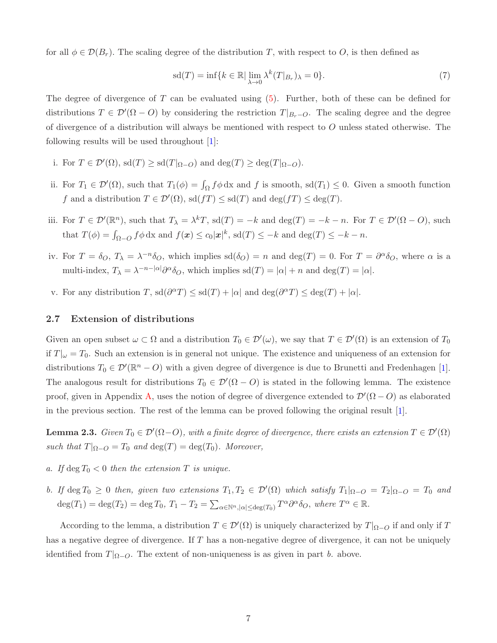for all  $\phi \in \mathcal{D}(B_r)$ . The scaling degree of the distribution T, with respect to O, is then defined as

$$
sd(T) = \inf \{ k \in \mathbb{R} \mid \lim_{\lambda \to 0} \lambda^k(T|_{B_r})_{\lambda} = 0 \}.
$$
 (7)

The degree of divergence of T can be evaluated using  $(5)$ . Further, both of these can be defined for distributions  $T \in \mathcal{D}'(\Omega - O)$  by considering the restriction  $T|_{B_r-O}$ . The scaling degree and the degree of divergence of a distribution will always be mentioned with respect to O unless stated otherwise. The following results will be used throughout [\[1\]](#page-26-0):

- i. For  $T \in \mathcal{D}'(\Omega)$ , sd $(T) \geq \text{sd}(T|_{\Omega-O})$  and  $\text{deg}(T) \geq \text{deg}(T|_{\Omega-O})$ .
- ii. For  $T_1 \in \mathcal{D}'(\Omega)$ , such that  $T_1(\phi) = \int_{\Omega} f \phi \, dx$  and f is smooth, sd $(T_1) \leq 0$ . Given a smooth function f and a distribution  $T \in \mathcal{D}'(\Omega)$ ,  $sd(fT) \leq sd(T)$  and  $deg(fT) \leq deg(T)$ .
- iii. For  $T \in \mathcal{D}'(\mathbb{R}^n)$ , such that  $T_\lambda = \lambda^k T$ , sd $(T) = -k$  and  $\deg(T) = -k n$ . For  $T \in \mathcal{D}'(\Omega O)$ , such that  $T(\phi) = \int_{\Omega - O} f \phi \, dx$  and  $f(x) \le c_0 |x|^k$ , sd $(T) \le -k$  and  $\deg(T) \le -k - n$ .
- iv. For  $T = \delta_O$ ,  $T_{\lambda} = \lambda^{-n} \delta_O$ , which implies  $sd(\delta_O) = n$  and  $deg(T) = 0$ . For  $T = \partial^{\alpha} \delta_O$ , where  $\alpha$  is a multi-index,  $T_{\lambda} = \lambda^{-n-|\alpha|} \partial^{\alpha} \delta_{O}$ , which implies  $sd(T) = |\alpha| + n$  and  $deg(T) = |\alpha|$ .
- v. For any distribution T,  $sd(\partial^{\alpha}T) \le sd(T) + |\alpha|$  and  $deg(\partial^{\alpha}T) \le deg(T) + |\alpha|$ .

### 2.7 Extension of distributions

Given an open subset  $\omega \subset \Omega$  and a distribution  $T_0 \in \mathcal{D}'(\omega)$ , we say that  $T \in \mathcal{D}'(\Omega)$  is an extension of  $T_0$ if  $T|_{\omega} = T_0$ . Such an extension is in general not unique. The existence and uniqueness of an extension for distributions  $T_0 \in \mathcal{D}'(\mathbb{R}^n - O)$  with a given degree of divergence is due to Brunetti and Fredenhagen [\[1\]](#page-26-0). The analogous result for distributions  $T_0 \in \mathcal{D}'(\Omega - O)$  is stated in the following lemma. The existence proof, given in Appendix [A,](#page-26-1) uses the notion of degree of divergence extended to  $\mathcal{D}'(\Omega - O)$  as elaborated in the previous section. The rest of the lemma can be proved following the original result [\[1\]](#page-26-0).

<span id="page-6-0"></span>**Lemma 2.3.** Given  $T_0 \in \mathcal{D}'(\Omega - O)$ , with a finite degree of divergence, there exists an extension  $T \in \mathcal{D}'(\Omega)$ such that  $T|_{\Omega-O} = T_0$  and  $\deg(T) = \deg(T_0)$ . Moreover,

- a. If deg  $T_0 < 0$  then the extension T is unique.
- b. If deg  $T_0 \geq 0$  then, given two extensions  $T_1, T_2 \in \mathcal{D}'(\Omega)$  which satisfy  $T_1|_{\Omega-O} = T_2|_{\Omega-O} = T_0$  and  $deg(T_1) = deg(T_2) = deg T_0$ ,  $T_1 - T_2 = \sum_{\alpha \in \mathbb{N}^n, |\alpha| \le deg(T_0)} T^{\alpha} \partial^{\alpha} \delta_O$ , where  $T^{\alpha} \in \mathbb{R}$ .

According to the lemma, a distribution  $T \in \mathcal{D}'(\Omega)$  is uniquely characterized by  $T|_{\Omega-O}$  if and only if T has a negative degree of divergence. If  $T$  has a non-negative degree of divergence, it can not be uniquely identified from  $T|_{\Omega-O}$ . The extent of non-uniqueness is as given in part b. above.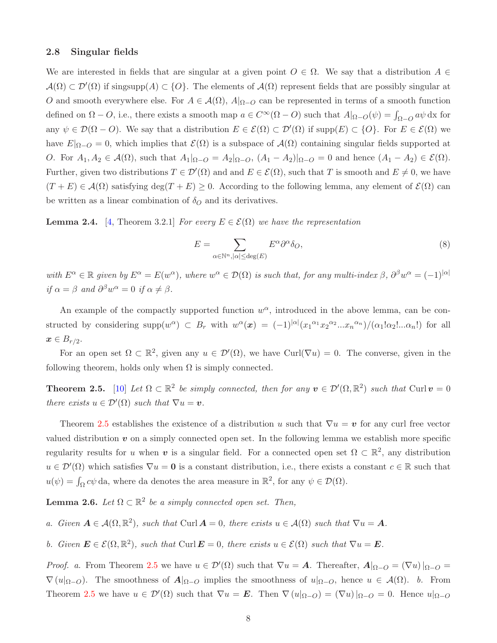### 2.8 Singular fields

We are interested in fields that are singular at a given point  $O \in \Omega$ . We say that a distribution  $A \in$  $\mathcal{A}(\Omega) \subset \mathcal{D}'(\Omega)$  if singsupp $(A) \subset \{O\}$ . The elements of  $\mathcal{A}(\Omega)$  represent fields that are possibly singular at O and smooth everywhere else. For  $A \in \mathcal{A}(\Omega)$ ,  $A|_{\Omega-O}$  can be represented in terms of a smooth function defined on  $\Omega - O$ , i.e., there exists a smooth map  $a \in C^{\infty}(\Omega - O)$  such that  $A|_{\Omega - O}(\psi) = \int_{\Omega - O} a\psi \,dx$  for any  $\psi \in \mathcal{D}(\Omega - O)$ . We say that a distribution  $E \in \mathcal{E}(\Omega) \subset \mathcal{D}'(\Omega)$  if supp $(E) \subset \{O\}$ . For  $E \in \mathcal{E}(\Omega)$  we have  $E|_{\Omega-O} = 0$ , which implies that  $\mathcal{E}(\Omega)$  is a subspace of  $\mathcal{A}(\Omega)$  containing singular fields supported at O. For  $A_1, A_2 \in \mathcal{A}(\Omega)$ , such that  $A_1|_{\Omega-O} = A_2|_{\Omega-O}$ ,  $(A_1 - A_2)|_{\Omega-O} = 0$  and hence  $(A_1 - A_2) \in \mathcal{E}(\Omega)$ . Further, given two distributions  $T \in \mathcal{D}'(\Omega)$  and and  $E \in \mathcal{E}(\Omega)$ , such that T is smooth and  $E \neq 0$ , we have  $(T + E) \in \mathcal{A}(\Omega)$  satisfying deg $(T + E) \geq 0$ . According to the following lemma, any element of  $\mathcal{E}(\Omega)$  can be written as a linear combination of  $\delta_Q$  and its derivatives.

<span id="page-7-3"></span>**Lemma 2.4.** [\[4,](#page-27-4) Theorem 3.2.1] For every  $E \in \mathcal{E}(\Omega)$  we have the representation

<span id="page-7-2"></span>
$$
E = \sum_{\alpha \in \mathbb{N}^n, |\alpha| \le \deg(E)} E^{\alpha} \partial^{\alpha} \delta_O,
$$
\n(8)

with  $E^{\alpha} \in \mathbb{R}$  given by  $E^{\alpha} = E(w^{\alpha})$ , where  $w^{\alpha} \in \mathcal{D}(\Omega)$  is such that, for any multi-index  $\beta$ ,  $\partial^{\beta} w^{\alpha} = (-1)^{|\alpha|}$ if  $\alpha = \beta$  and  $\partial^{\beta} w^{\alpha} = 0$  if  $\alpha \neq \beta$ .

An example of the compactly supported function  $w^{\alpha}$ , introduced in the above lemma, can be constructed by considering  $\text{supp}(w^{\alpha}) \subset B_r$  with  $w^{\alpha}(\bm{x}) = (-1)^{|\alpha|}(x_1^{\alpha_1}x_2^{\alpha_2}...x_n^{\alpha_n})/(\alpha_1!\alpha_2!...\alpha_n!)$  for all  $\boldsymbol{x} \in B_{r/2}.$ 

For an open set  $\Omega \subset \mathbb{R}^2$ , given any  $u \in \mathcal{D}'(\Omega)$ , we have Curl( $\nabla u$ ) = 0. The converse, given in the following theorem, holds only when  $\Omega$  is simply connected.

<span id="page-7-0"></span>**Theorem 2.5.** [\[10\]](#page-27-9) Let  $\Omega \subset \mathbb{R}^2$  be simply connected, then for any  $v \in \mathcal{D}'(\Omega, \mathbb{R}^2)$  such that Curl  $v = 0$ there exists  $u \in \mathcal{D}'(\Omega)$  such that  $\nabla u = \boldsymbol{v}$ .

Theorem [2.5](#page-7-0) establishes the existence of a distribution u such that  $\nabla u = v$  for any curl free vector valued distribution  $v$  on a simply connected open set. In the following lemma we establish more specific regularity results for u when v is a singular field. For a connected open set  $\Omega \subset \mathbb{R}^2$ , any distribution  $u \in \mathcal{D}'(\Omega)$  which satisfies  $\nabla u = \mathbf{0}$  is a constant distribution, i.e., there exists a constant  $c \in \mathbb{R}$  such that  $u(\psi) = \int_{\Omega} c\psi \, da$ , where da denotes the area measure in  $\mathbb{R}^2$ , for any  $\psi \in \mathcal{D}(\Omega)$ .

<span id="page-7-1"></span>**Lemma 2.6.** Let  $\Omega \subset \mathbb{R}^2$  be a simply connected open set. Then,

a. Given  $A \in \mathcal{A}(\Omega, \mathbb{R}^2)$ , such that Curl  $A = 0$ , there exists  $u \in \mathcal{A}(\Omega)$  such that  $\nabla u = A$ .

b. Given  $\mathbf{E} \in \mathcal{E}(\Omega, \mathbb{R}^2)$ , such that  $\text{Curl}\,\mathbf{E} = 0$ , there exists  $u \in \mathcal{E}(\Omega)$  such that  $\nabla u = \mathbf{E}$ .

*Proof.* a. From Theorem [2.5](#page-7-0) we have  $u \in \mathcal{D}'(\Omega)$  such that  $\nabla u = \mathbf{A}$ . Thereafter,  $\mathbf{A}|_{\Omega-O} = (\nabla u)|_{\Omega-O} =$  $\nabla (u|_{\Omega-O})$ . The smoothness of  $A|_{\Omega-O}$  implies the smoothness of  $u|_{\Omega-O}$ , hence  $u \in \mathcal{A}(\Omega)$ . b. From Theorem [2.5](#page-7-0) we have  $u \in \mathcal{D}'(\Omega)$  such that  $\nabla u = \boldsymbol{E}$ . Then  $\nabla (u|_{\Omega-O}) = (\nabla u)|_{\Omega-O} = 0$ . Hence  $u|_{\Omega-O}$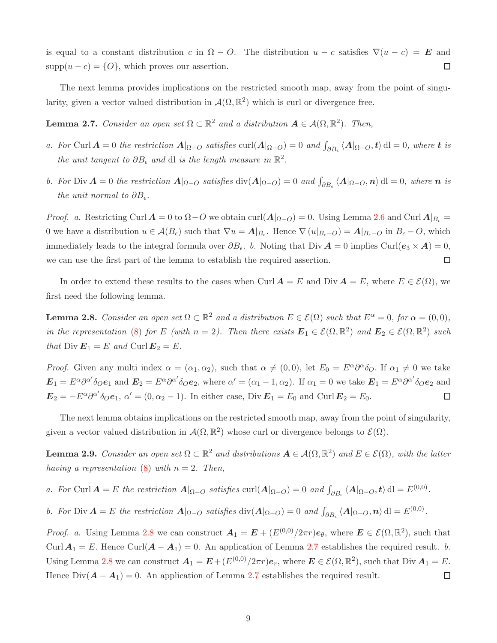is equal to a constant distribution c in  $\Omega - O$ . The distribution  $u - c$  satisfies  $\nabla (u - c) = \mathbf{E}$  and  $supp(u - c) = \{O\}$ , which proves our assertion.  $\Box$ 

The next lemma provides implications on the restricted smooth map, away from the point of singularity, given a vector valued distribution in  $\mathcal{A}(\Omega,\mathbb{R}^2)$  which is curl or divergence free.

<span id="page-8-1"></span>**Lemma 2.7.** Consider an open set  $\Omega \subset \mathbb{R}^2$  and a distribution  $A \in \mathcal{A}(\Omega, \mathbb{R}^2)$ . Then,

- a. For Curl  $A = 0$  the restriction  $A|_{\Omega-O}$  satisfies  $\text{curl}(A|_{\Omega-O}) = 0$  and  $\int_{\partial B_{\epsilon}} \langle A|_{\Omega-O}, t \rangle \, \text{d}l = 0$ , where t is the unit tangent to  $\partial B_{\epsilon}$  and dl is the length measure in  $\mathbb{R}^2$ .
- b. For Div  $A = 0$  the restriction  $A|_{\Omega-O}$  satisfies  $\text{div}(A|_{\Omega-O}) = 0$  and  $\int_{\partial B_{\epsilon}} \langle A|_{\Omega-O}, n \rangle \, dl = 0$ , where *n* is the unit normal to  $\partial B_{\epsilon}$ .

*Proof.* a. Restricting Curl  $A = 0$  to  $\Omega - O$  we obtain curl( $A|_{\Omega - O} = 0$ . Using Lemma [2.6](#page-7-1) and Curl  $A|_{B_{\epsilon}} =$ 0 we have a distribution  $u \in \mathcal{A}(B_{\epsilon})$  such that  $\nabla u = \mathcal{A}|_{B_{\epsilon}}$ . Hence  $\nabla (u|_{B_{\epsilon}-O}) = \mathcal{A}|_{B_{\epsilon}-O}$  in  $B_{\epsilon}-O$ , which immediately leads to the integral formula over  $\partial B_{\epsilon}$ . b. Noting that Div  $\mathbf{A} = 0$  implies Curl( $\mathbf{e}_3 \times \mathbf{A}$ ) = 0,  $\Box$ we can use the first part of the lemma to establish the required assertion.

In order to extend these results to the cases when Curl  $\mathbf{A} = E$  and Div  $\mathbf{A} = E$ , where  $E \in \mathcal{E}(\Omega)$ , we first need the following lemma.

<span id="page-8-0"></span>**Lemma 2.8.** Consider an open set  $\Omega \subset \mathbb{R}^2$  and a distribution  $E \in \mathcal{E}(\Omega)$  such that  $E^{\alpha} = 0$ , for  $\alpha = (0, 0)$ , in the representation [\(8\)](#page-7-2) for E (with  $n = 2$ ). Then there exists  $\mathbf{E}_1 \in \mathcal{E}(\Omega, \mathbb{R}^2)$  and  $\mathbf{E}_2 \in \mathcal{E}(\Omega, \mathbb{R}^2)$  such that  $\text{Div }\mathbf{E}_1 = E$  and  $\text{Curl }\mathbf{E}_2 = E$ .

*Proof.* Given any multi index  $\alpha = (\alpha_1, \alpha_2)$ , such that  $\alpha \neq (0, 0)$ , let  $E_0 = E^{\alpha} \partial^{\alpha} \delta_O$ . If  $\alpha_1 \neq 0$  we take  $\mathbf{E}_1 = E^{\alpha} \partial^{\alpha'} \delta_O \mathbf{e}_1$  and  $\mathbf{E}_2 = E^{\alpha} \partial^{\alpha'} \delta_O \mathbf{e}_2$ , where  $\alpha' = (\alpha_1 - 1, \alpha_2)$ . If  $\alpha_1 = 0$  we take  $\mathbf{E}_1 = E^{\alpha} \partial^{\alpha'} \delta_O \mathbf{e}_2$  and  $\mathbf{E}_2 = -E^{\alpha} \partial^{\alpha'} \delta_0 \mathbf{e}_1, \, \alpha' = (0, \alpha_2 - 1).$  In either case, Div  $\mathbf{E}_1 = E_0$  and Curl  $\mathbf{E}_2 = E_0$ .  $\Box$ 

The next lemma obtains implications on the restricted smooth map, away from the point of singularity, given a vector valued distribution in  $\mathcal{A}(\Omega,\mathbb{R}^2)$  whose curl or divergence belongs to  $\mathcal{E}(\Omega)$ .

<span id="page-8-2"></span>**Lemma 2.9.** Consider an open set  $\Omega \subset \mathbb{R}^2$  and distributions  $A \in \mathcal{A}(\Omega, \mathbb{R}^2)$  and  $E \in \mathcal{E}(\Omega)$ , with the latter having a representation [\(8\)](#page-7-2) with  $n = 2$ . Then,

a. For Curl  $\mathbf{A} = E$  the restriction  $\mathbf{A}|_{\Omega-O}$  satisfies  $\text{curl}(\mathbf{A}|_{\Omega-O}) = 0$  and  $\int_{\partial B_{\epsilon}} \langle \mathbf{A}|_{\Omega-O}, \mathbf{t} \rangle \, \text{d} \mathbf{l} = E^{(0,0)}$ .

b. For Div  $A = E$  the restriction  $A|_{\Omega-O}$  satisfies  $\text{div}(A|_{\Omega-O}) = 0$  and  $\int_{\partial B_{\epsilon}} \langle A|_{\Omega-O}, n \rangle \, \text{d}l = E^{(0,0)}$ .

*Proof.* a. Using Lemma [2.8](#page-8-0) we can construct  $A_1 = E + (E^{(0,0)}/2\pi r)e_\theta$ , where  $E \in \mathcal{E}(\Omega,\mathbb{R}^2)$ , such that Curl  $A_1 = E$ . Hence Curl $(A - A_1) = 0$ . An application of Lemma [2.7](#page-8-1) establishes the required result. b. Using Lemma [2.8](#page-8-0) we can construct  $\boldsymbol{A}_1 = \boldsymbol{E} + (E^{(0,0)}/2\pi r)\boldsymbol{e}_r$ , where  $\boldsymbol{E} \in \mathcal{E}(\Omega,\mathbb{R}^2)$ , such that Div  $\boldsymbol{A}_1 = E$ . Hence  $Div(A - A_1) = 0$ . An application of Lemma [2.7](#page-8-1) establishes the required result.  $\Box$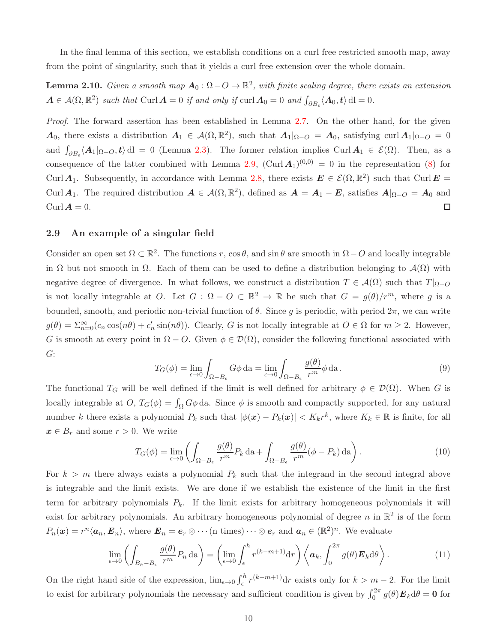In the final lemma of this section, we establish conditions on a curl free restricted smooth map, away from the point of singularity, such that it yields a curl free extension over the whole domain.

**Lemma 2.10.** Given a smooth map  $A_0: \Omega - O \to \mathbb{R}^2$ , with finite scaling degree, there exists an extension  $A \in \mathcal{A}(\Omega, \mathbb{R}^2)$  such that Curl  $A = 0$  if and only if curl  $A_0 = 0$  and  $\int_{\partial B_{\epsilon}} \langle A_0, t \rangle \, \mathrm{d}l = 0$ .

Proof. The forward assertion has been established in Lemma [2.7.](#page-8-1) On the other hand, for the given  $A_0$ , there exists a distribution  $A_1 \in \mathcal{A}(\Omega, \mathbb{R}^2)$ , such that  $A_1|_{\Omega-O} = A_0$ , satisfying curl  $A_1|_{\Omega-O} = 0$ and  $\int_{\partial B_{\epsilon}} \langle A_1|_{\Omega-O}, t \rangle \,d\mathbf{l} = 0$  (Lemma [2.3\)](#page-6-0). The former relation implies Curl  $A_1 \in \mathcal{E}(\Omega)$ . Then, as a consequence of the latter combined with Lemma [2.9,](#page-8-2)  $(\text{Curl } A_1)^{(0,0)} = 0$  in the representation [\(8\)](#page-7-2) for Curl  $A_1$ . Subsequently, in accordance with Lemma [2.8,](#page-8-0) there exists  $E \in \mathcal{E}(\Omega,\mathbb{R}^2)$  such that Curl  $E =$ Curl  $A_1$ . The required distribution  $A \in \mathcal{A}(\Omega, \mathbb{R}^2)$ , defined as  $A = A_1 - E$ , satisfies  $A|_{\Omega-O} = A_0$  and Curl  $\mathbf{A} = 0$ .  $\Box$ 

### 2.9 An example of a singular field

Consider an open set  $\Omega \subset \mathbb{R}^2$ . The functions r, cos  $\theta$ , and sin  $\theta$  are smooth in  $\Omega - O$  and locally integrable in  $\Omega$  but not smooth in  $\Omega$ . Each of them can be used to define a distribution belonging to  $\mathcal{A}(\Omega)$  with negative degree of divergence. In what follows, we construct a distribution  $T \in \mathcal{A}(\Omega)$  such that  $T|_{\Omega-O}$ is not locally integrable at O. Let  $G : \Omega - O \subset \mathbb{R}^2 \to \mathbb{R}$  be such that  $G = g(\theta)/r^m$ , where g is a bounded, smooth, and periodic non-trivial function of  $\theta$ . Since g is periodic, with period  $2\pi$ , we can write  $g(\theta) = \sum_{n=0}^{\infty} (c_n \cos(n\theta) + c'_n \sin(n\theta)).$  Clearly, G is not locally integrable at  $O \in \Omega$  for  $m \ge 2$ . However, G is smooth at every point in  $\Omega - O$ . Given  $\phi \in \mathcal{D}(\Omega)$ , consider the following functional associated with G:

$$
T_G(\phi) = \lim_{\epsilon \to 0} \int_{\Omega - B_{\epsilon}} G\phi \, \mathrm{d}a = \lim_{\epsilon \to 0} \int_{\Omega - B_{\epsilon}} \frac{g(\theta)}{r^m} \phi \, \mathrm{d}a. \tag{9}
$$

The functional  $T_G$  will be well defined if the limit is well defined for arbitrary  $\phi \in \mathcal{D}(\Omega)$ . When G is locally integrable at  $O, T_G(\phi) = \int_{\Omega} G\phi \, da$ . Since  $\phi$  is smooth and compactly supported, for any natural number k there exists a polynomial  $P_k$  such that  $|\phi(\mathbf{x}) - P_k(\mathbf{x})| < K_k r^k$ , where  $K_k \in \mathbb{R}$  is finite, for all  $x \in B_r$  and some  $r > 0$ . We write

$$
T_G(\phi) = \lim_{\epsilon \to 0} \left( \int_{\Omega - B_{\epsilon}} \frac{g(\theta)}{r^m} P_k \, da + \int_{\Omega - B_{\epsilon}} \frac{g(\theta)}{r^m} (\phi - P_k) \, da \right). \tag{10}
$$

For  $k > m$  there always exists a polynomial  $P_k$  such that the integrand in the second integral above is integrable and the limit exists. We are done if we establish the existence of the limit in the first term for arbitrary polynomials  $P_k$ . If the limit exists for arbitrary homogeneous polynomials it will exist for arbitrary polynomials. An arbitrary homogeneous polynomial of degree n in  $\mathbb{R}^2$  is of the form  $P_n(\boldsymbol{x}) = r^n \langle \boldsymbol{a}_n, \boldsymbol{E}_n \rangle$ , where  $\boldsymbol{E}_n = \boldsymbol{e}_r \otimes \cdots$  (n times)  $\cdots \otimes \boldsymbol{e}_r$  and  $\boldsymbol{a}_n \in (\mathbb{R}^2)^n$ . We evaluate

$$
\lim_{\epsilon \to 0} \left( \int_{B_h - B_\epsilon} \frac{g(\theta)}{r^m} P_n \, \mathrm{d} \mathbf{a} \right) = \left( \lim_{\epsilon \to 0} \int_{\epsilon}^h r^{(k-m+1)} \mathrm{d} r \right) \left\langle \mathbf{a}_k, \int_0^{2\pi} g(\theta) \mathbf{E}_k \mathrm{d} \theta \right\rangle. \tag{11}
$$

On the right hand side of the expression,  $\lim_{\epsilon \to 0} \int_{\epsilon}^{h} r^{(k-m+1)} dr$  exists only for  $k > m - 2$ . For the limit to exist for arbitrary polynomials the necessary and sufficient condition is given by  $\int_0^{2\pi} g(\theta) \mathbf{E}_k d\theta = \mathbf{0}$  for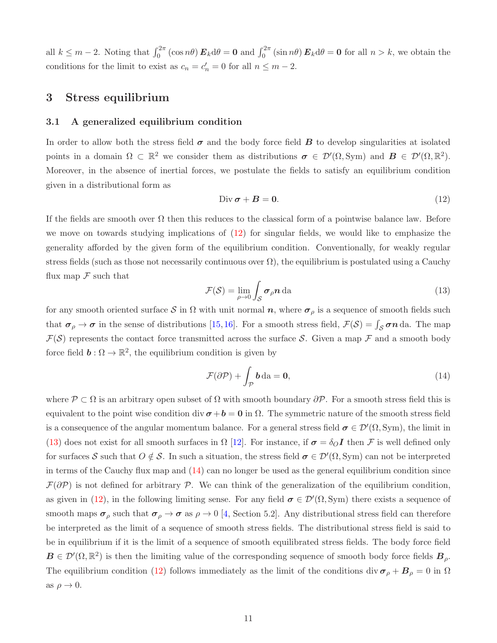all  $k \leq m-2$ . Noting that  $\int_0^{2\pi} (\cos n\theta) \mathbf{E}_k d\theta = \mathbf{0}$  and  $\int_0^{2\pi} (\sin n\theta) \mathbf{E}_k d\theta = \mathbf{0}$  for all  $n > k$ , we obtain the conditions for the limit to exist as  $c_n = c'_n = 0$  for all  $n \leq m - 2$ .

## <span id="page-10-0"></span>3 Stress equilibrium

### 3.1 A generalized equilibrium condition

In order to allow both the stress field  $\sigma$  and the body force field  $B$  to develop singularities at isolated points in a domain  $\Omega \subset \mathbb{R}^2$  we consider them as distributions  $\sigma \in \mathcal{D}'(\Omega, \text{Sym})$  and  $\mathbf{B} \in \mathcal{D}'(\Omega, \mathbb{R}^2)$ . Moreover, in the absence of inertial forces, we postulate the fields to satisfy an equilibrium condition given in a distributional form as

<span id="page-10-1"></span>
$$
\text{Div}\,\boldsymbol{\sigma} + \boldsymbol{B} = \mathbf{0}.\tag{12}
$$

If the fields are smooth over  $\Omega$  then this reduces to the classical form of a pointwise balance law. Before we move on towards studying implications of [\(12\)](#page-10-1) for singular fields, we would like to emphasize the generality afforded by the given form of the equilibrium condition. Conventionally, for weakly regular stress fields (such as those not necessarily continuous over  $\Omega$ ), the equilibrium is postulated using a Cauchy flux map  $\mathcal F$  such that

<span id="page-10-2"></span>
$$
\mathcal{F}(\mathcal{S}) = \lim_{\rho \to 0} \int_{\mathcal{S}} \boldsymbol{\sigma}_{\rho} \boldsymbol{n} \, \mathrm{da} \tag{13}
$$

for any smooth oriented surface S in  $\Omega$  with unit normal n, where  $\sigma_{\rho}$  is a sequence of smooth fields such that  $\sigma_{\rho} \to \sigma$  in the sense of distributions [\[15,](#page-27-10)[16\]](#page-27-11). For a smooth stress field,  $\mathcal{F}(\mathcal{S}) = \int_{\mathcal{S}} \sigma n \, da$ . The map  $\mathcal{F}(\mathcal{S})$  represents the contact force transmitted across the surface S. Given a map  $\mathcal F$  and a smooth body force field  $\mathbf{b}: \Omega \to \mathbb{R}^2$ , the equilibrium condition is given by

<span id="page-10-3"></span>
$$
\mathcal{F}(\partial \mathcal{P}) + \int_{\mathcal{P}} \mathbf{b} \, \mathrm{da} = \mathbf{0},\tag{14}
$$

where  $\mathcal{P} \subset \Omega$  is an arbitrary open subset of  $\Omega$  with smooth boundary  $\partial \mathcal{P}$ . For a smooth stress field this is equivalent to the point wise condition div  $\sigma + b = 0$  in  $\Omega$ . The symmetric nature of the smooth stress field is a consequence of the angular momentum balance. For a general stress field  $\sigma \in \mathcal{D}'(\Omega, \text{Sym})$ , the limit in [\(13\)](#page-10-2) does not exist for all smooth surfaces in  $\Omega$  [\[12\]](#page-27-12). For instance, if  $\sigma = \delta_O I$  then F is well defined only for surfaces S such that  $O \notin \mathcal{S}$ . In such a situation, the stress field  $\sigma \in \mathcal{D}'(\Omega, \text{Sym})$  can not be interpreted in terms of the Cauchy flux map and [\(14\)](#page-10-3) can no longer be used as the general equilibrium condition since  $\mathcal{F}(\partial P)$  is not defined for arbitrary P. We can think of the generalization of the equilibrium condition, as given in [\(12\)](#page-10-1), in the following limiting sense. For any field  $\sigma \in \mathcal{D}'(\Omega, \text{Sym})$  there exists a sequence of smooth maps  $\sigma_\rho$  such that  $\sigma_\rho \to \sigma$  as  $\rho \to 0$  [\[4,](#page-27-4) Section 5.2]. Any distributional stress field can therefore be interpreted as the limit of a sequence of smooth stress fields. The distributional stress field is said to be in equilibrium if it is the limit of a sequence of smooth equilibrated stress fields. The body force field  $B \in \mathcal{D}'(\Omega,\mathbb{R}^2)$  is then the limiting value of the corresponding sequence of smooth body force fields  $B_\rho$ . The equilibrium condition [\(12\)](#page-10-1) follows immediately as the limit of the conditions div  $\sigma_{\rho} + B_{\rho} = 0$  in  $\Omega$ as  $\rho \rightarrow 0$ .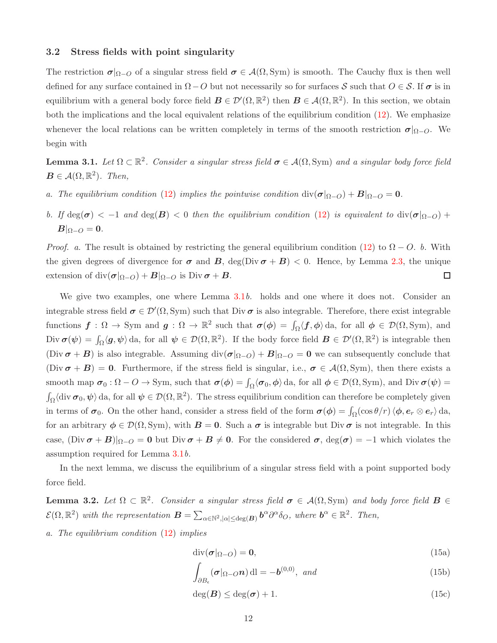### 3.2 Stress fields with point singularity

The restriction  $\sigma|_{\Omega-O}$  of a singular stress field  $\sigma \in \mathcal{A}(\Omega, \text{Sym})$  is smooth. The Cauchy flux is then well defined for any surface contained in  $\Omega$  − O but not necessarily so for surfaces S such that  $O \in \mathcal{S}$ . If  $\sigma$  is in equilibrium with a general body force field  $\mathbf{B} \in \mathcal{D}'(\Omega,\mathbb{R}^2)$  then  $\mathbf{B} \in \mathcal{A}(\Omega,\mathbb{R}^2)$ . In this section, we obtain both the implications and the local equivalent relations of the equilibrium condition [\(12\)](#page-10-1). We emphasize whenever the local relations can be written completely in terms of the smooth restriction  $\sigma|_{\Omega-O}$ . We begin with

<span id="page-11-0"></span>**Lemma 3.1.** Let  $\Omega \subset \mathbb{R}^2$ . Consider a singular stress field  $\sigma \in \mathcal{A}(\Omega, \text{Sym})$  and a singular body force field  $\mathbf{B} \in \mathcal{A}(\Omega,\mathbb{R}^2)$ . Then,

- a. The equilibrium condition [\(12\)](#page-10-1) implies the pointwise condition  $\text{div}(\sigma|_{\Omega-O}) + B|_{\Omega-O} = 0$ .
- b. If  $\deg(\sigma) < -1$  and  $\deg(B) < 0$  then the equilibrium condition [\(12\)](#page-10-1) is equivalent to  $\mathrm{div}(\sigma|_{\Omega-O})$  +  $B|_{\Omega-O}=0.$

*Proof.* a. The result is obtained by restricting the general equilibrium condition [\(12\)](#page-10-1) to  $\Omega - O$ . b. With the given degrees of divergence for  $\sigma$  and  $B$ , deg(Div  $\sigma + B$ ) < 0. Hence, by Lemma [2.3,](#page-6-0) the unique extension of div $(\sigma|_{\Omega-O}) + B|_{\Omega-O}$  is Div  $\sigma + B$ .  $\Box$ 

We give two examples, one where Lemma [3.1](#page-11-0)b. holds and one where it does not. Consider an integrable stress field  $\sigma \in \mathcal{D}'(\Omega, \mathrm{Sym})$  such that Div  $\sigma$  is also integrable. Therefore, there exist integrable functions  $f: \Omega \to \text{Sym}$  and  $g: \Omega \to \mathbb{R}^2$  such that  $\sigma(\phi) = \int_{\Omega} \langle f, \phi \rangle d\mathbf{a}$ , for all  $\phi \in \mathcal{D}(\Omega, \text{Sym})$ , and  $\text{Div } \boldsymbol{\sigma}(\boldsymbol{\psi}) = \int_{\Omega} \langle \boldsymbol{g}, \boldsymbol{\psi} \rangle \, \text{da}, \text{ for all } \boldsymbol{\psi} \in \mathcal{D}(\Omega, \mathbb{R}^2).$  If the body force field  $\boldsymbol{B} \in \mathcal{D}'(\Omega, \mathbb{R}^2)$  is integrable then (Div  $\sigma + B$ ) is also integrable. Assuming div $(\sigma|_{\Omega-O}) + B|_{\Omega-O} = 0$  we can subsequently conclude that  $(Div \sigma + B) = 0$ . Furthermore, if the stress field is singular, i.e.,  $\sigma \in \mathcal{A}(\Omega, Sym)$ , then there exists a smooth map  $\sigma_0 : \Omega - O \to \text{Sym}$ , such that  $\sigma(\phi) = \int_{\Omega} \langle \sigma_0, \phi \rangle d\mathbf{a}$ , for all  $\phi \in \mathcal{D}(\Omega, \text{Sym})$ , and  $\text{Div } \sigma(\psi) =$  $\int_{\Omega} \langle \text{div } \sigma_0, \psi \rangle$  da, for all  $\psi \in \mathcal{D}(\Omega, \mathbb{R}^2)$ . The stress equilibrium condition can therefore be completely given in terms of  $\sigma_0$ . On the other hand, consider a stress field of the form  $\sigma(\phi) = \int_{\Omega} (\cos \theta/r) \langle \phi, e_r \otimes e_r \rangle d\mathbf{a}$ , for an arbitrary  $\phi \in \mathcal{D}(\Omega, \text{Sym})$ , with  $\mathbf{B} = \mathbf{0}$ . Such a  $\sigma$  is integrable but  $\text{Div } \sigma$  is not integrable. In this case,  $(\text{Div}\,\boldsymbol{\sigma} + \boldsymbol{B})|_{\Omega-O} = 0$  but  $\text{Div}\,\boldsymbol{\sigma} + \boldsymbol{B} \neq 0$ . For the considered  $\boldsymbol{\sigma}$ ,  $\text{deg}(\boldsymbol{\sigma}) = -1$  which violates the assumption required for Lemma [3.1](#page-11-0)b.

In the next lemma, we discuss the equilibrium of a singular stress field with a point supported body force field.

<span id="page-11-1"></span>**Lemma 3.2.** Let  $\Omega \subset \mathbb{R}^2$ . Consider a singular stress field  $\sigma \in \mathcal{A}(\Omega, \text{Sym})$  and body force field  $\mathbf{B} \in$  $\mathcal{E}(\Omega,\mathbb{R}^2)$  with the representation  $\mathbf{B} = \sum_{\alpha \in \mathbb{N}^2, |\alpha| \le \deg(\mathbf{B})} \mathbf{b}^{\alpha} \partial^{\alpha} \delta_O$ , where  $\mathbf{b}^{\alpha} \in \mathbb{R}^2$ . Then,

a. The equilibrium condition [\(12\)](#page-10-1) implies

<span id="page-11-2"></span>
$$
\operatorname{div}(\boldsymbol{\sigma}|_{\Omega-O}) = \mathbf{0},\tag{15a}
$$

<span id="page-11-4"></span><span id="page-11-3"></span>
$$
\int_{\partial B_{\epsilon}} (\boldsymbol{\sigma}|_{\Omega - O} \mathbf{n}) \, \mathrm{d}\mathbf{l} = -\boldsymbol{b}^{(0,0)}, \text{ and}
$$
\n(15b)

<span id="page-11-5"></span>
$$
\deg(B) \le \deg(\sigma) + 1. \tag{15c}
$$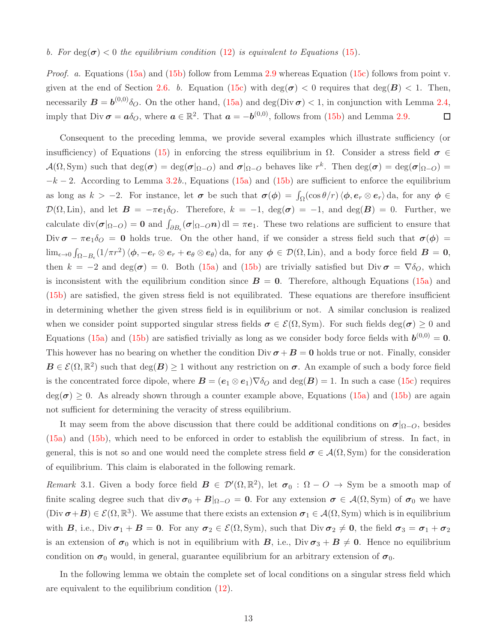#### b. For  $\deg(\sigma) < 0$  the equilibrium condition [\(12\)](#page-10-1) is equivalent to Equations [\(15\)](#page-11-2).

*Proof.* a. Equations [\(15a\)](#page-11-3) and [\(15b\)](#page-11-4) follow from Lemma [2.9](#page-8-2) whereas Equation [\(15c\)](#page-11-5) follows from point v. given at the end of Section [2.6.](#page-5-2) b. Equation [\(15c\)](#page-11-5) with  $deg(\sigma) < 0$  requires that  $deg(B) < 1$ . Then, necessarily  $B = b^{(0,0)} \delta_O$ . On the other hand, [\(15a\)](#page-11-3) and deg(Div $\sigma$ ) < 1, in conjunction with Lemma [2.4,](#page-7-3) imply that Div  $\sigma = a\delta_{\mathcal{O}}$ , where  $a \in \mathbb{R}^2$ . That  $a = -b^{(0,0)}$ , follows from [\(15b\)](#page-11-4) and Lemma [2.9.](#page-8-2)  $\Box$ 

Consequent to the preceding lemma, we provide several examples which illustrate sufficiency (or insufficiency) of Equations [\(15\)](#page-11-2) in enforcing the stress equilibrium in  $Ω$ . Consider a stress field  $σ ∈$  $\mathcal{A}(\Omega, \text{Sym})$  such that  $\text{deg}(\boldsymbol{\sigma}) = \text{deg}(\boldsymbol{\sigma}|_{\Omega-O})$  and  $\boldsymbol{\sigma}|_{\Omega-O}$  behaves like  $r^k$ . Then  $\text{deg}(\boldsymbol{\sigma}) = \text{deg}(\boldsymbol{\sigma}|_{\Omega-O}) =$  $-k-2$ . According to Lemma [3.2](#page-11-1)b., Equations [\(15a\)](#page-11-3) and [\(15b\)](#page-11-4) are sufficient to enforce the equilibrium as long as  $k > -2$ . For instance, let  $\sigma$  be such that  $\sigma(\phi) = \int_{\Omega} (\cos \theta/r) \langle \phi, e_r \otimes e_r \rangle d\mathbf{a}$ , for any  $\phi \in$  $\mathcal{D}(\Omega, \text{Lin})$ , and let  $\mathbf{B} = -\pi \mathbf{e}_1 \delta_O$ . Therefore,  $k = -1$ ,  $\deg(\boldsymbol{\sigma}) = -1$ , and  $\deg(\mathbf{B}) = 0$ . Further, we calculate  $\text{div}(\sigma|_{\Omega-O}) = \mathbf{0}$  and  $\int_{\partial B_{\epsilon}} (\sigma|_{\Omega-O}\mathbf{n}) \,d\mathbf{l} = \pi \mathbf{e}_1$ . These two relations are sufficient to ensure that Div  $\sigma - \pi e_1 \delta_O = 0$  holds true. On the other hand, if we consider a stress field such that  $\sigma(\phi)$  =  $\lim_{\epsilon \to 0} \int_{\Omega - B_{\epsilon}} (1/\pi r^2) \langle \phi, -e_r \otimes e_r + e_{\theta} \otimes e_{\theta} \rangle \, da$ , for any  $\phi \in \mathcal{D}(\Omega, \text{Lin})$ , and a body force field  $B = 0$ , then  $k = -2$  and  $\deg(\sigma) = 0$ . Both [\(15a\)](#page-11-3) and [\(15b\)](#page-11-4) are trivially satisfied but Div  $\sigma = \nabla \delta_O$ , which is inconsistent with the equilibrium condition since  $B = 0$ . Therefore, although Equations [\(15a\)](#page-11-3) and [\(15b\)](#page-11-4) are satisfied, the given stress field is not equilibrated. These equations are therefore insufficient in determining whether the given stress field is in equilibrium or not. A similar conclusion is realized when we consider point supported singular stress fields  $\sigma \in \mathcal{E}(\Omega, \text{Sym})$ . For such fields  $\text{deg}(\sigma) \geq 0$  and Equations [\(15a\)](#page-11-3) and [\(15b\)](#page-11-4) are satisfied trivially as long as we consider body force fields with  $b^{(0,0)} = 0$ . This however has no bearing on whether the condition Div  $\sigma + B = 0$  holds true or not. Finally, consider  $\mathbf{B} \in \mathcal{E}(\Omega,\mathbb{R}^2)$  such that  $\deg(\mathbf{B}) \geq 1$  without any restriction on  $\sigma$ . An example of such a body force field is the concentrated force dipole, where  $\mathbf{B} = (\mathbf{e}_1 \otimes \mathbf{e}_1) \nabla \delta_O$  and  $\deg(\mathbf{B}) = 1$ . In such a case [\(15c\)](#page-11-5) requires  $deg(\sigma) \geq 0$ . As already shown through a counter example above, Equations [\(15a\)](#page-11-3) and [\(15b\)](#page-11-4) are again not sufficient for determining the veracity of stress equilibrium.

It may seem from the above discussion that there could be additional conditions on  $\sigma|_{\Omega-O}$ , besides [\(15a\)](#page-11-3) and [\(15b\)](#page-11-4), which need to be enforced in order to establish the equilibrium of stress. In fact, in general, this is not so and one would need the complete stress field  $\sigma \in A(\Omega, Sym)$  for the consideration of equilibrium. This claim is elaborated in the following remark.

<span id="page-12-0"></span>Remark 3.1. Given a body force field  $B \in \mathcal{D}'(\Omega,\mathbb{R}^2)$ , let  $\sigma_0 : \Omega - O \to \text{Sym}$  be a smooth map of finite scaling degree such that div  $\sigma_0 + B|_{\Omega-O} = 0$ . For any extension  $\sigma \in \mathcal{A}(\Omega, \text{Sym})$  of  $\sigma_0$  we have  $(\text{Div }\boldsymbol{\sigma}+\boldsymbol{B})\in\mathcal{E}(\Omega,\mathbb{R}^3)$ . We assume that there exists an extension  $\boldsymbol{\sigma}_1\in\mathcal{A}(\Omega,\text{Sym})$  which is in equilibrium with B, i.e., Div  $\sigma_1 + B = 0$ . For any  $\sigma_2 \in \mathcal{E}(\Omega, \text{Sym})$ , such that Div  $\sigma_2 \neq 0$ , the field  $\sigma_3 = \sigma_1 + \sigma_2$ is an extension of  $\sigma_0$  which is not in equilibrium with B, i.e., Div  $\sigma_3 + B \neq 0$ . Hence no equilibrium condition on  $\sigma_0$  would, in general, guarantee equilibrium for an arbitrary extension of  $\sigma_0$ .

In the following lemma we obtain the complete set of local conditions on a singular stress field which are equivalent to the equilibrium condition [\(12\)](#page-10-1).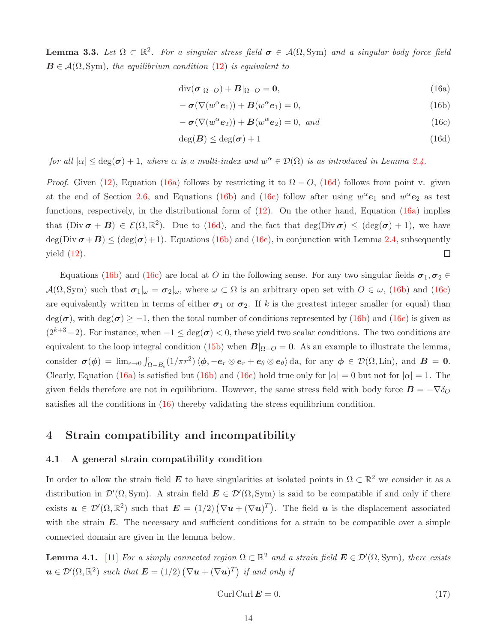<span id="page-13-0"></span>**Lemma 3.3.** Let  $\Omega \subset \mathbb{R}^2$ . For a singular stress field  $\sigma \in \mathcal{A}(\Omega, \text{Sym})$  and a singular body force field  $\mathbf{B} \in \mathcal{A}(\Omega, \text{Sym})$ , the equilibrium condition [\(12\)](#page-10-1) is equivalent to

<span id="page-13-2"></span>
$$
\operatorname{div}(\boldsymbol{\sigma}|_{\Omega-O}) + \boldsymbol{B}|_{\Omega-O} = \mathbf{0},\tag{16a}
$$

<span id="page-13-4"></span>
$$
- \sigma(\nabla(w^{\alpha}e_1)) + B(w^{\alpha}e_1) = 0, \qquad (16b)
$$

<span id="page-13-5"></span><span id="page-13-3"></span>
$$
- \boldsymbol{\sigma}(\nabla(w^{\alpha}e_2)) + \boldsymbol{B}(w^{\alpha}e_2) = 0, \text{ and}
$$
\n(16c)

$$
\deg(B) \le \deg(\sigma) + 1 \tag{16d}
$$

for all  $|\alpha| \leq deg(\sigma) + 1$ , where  $\alpha$  is a multi-index and  $w^{\alpha} \in \mathcal{D}(\Omega)$  is as introduced in Lemma [2.4.](#page-7-3)

*Proof.* Given [\(12\)](#page-10-1), Equation [\(16a\)](#page-13-2) follows by restricting it to  $\Omega - O$ , [\(16d\)](#page-13-3) follows from point v. given at the end of Section [2.6,](#page-5-2) and Equations [\(16b\)](#page-13-4) and [\(16c\)](#page-13-5) follow after using  $w^{\alpha}e_1$  and  $w^{\alpha}e_2$  as test functions, respectively, in the distributional form of  $(12)$ . On the other hand, Equation  $(16a)$  implies that  $(Div \sigma + B) \in \mathcal{E}(\Omega, \mathbb{R}^2)$ . Due to  $(16d)$ , and the fact that  $deg(Div \sigma) \leq (deg(\sigma) + 1)$ , we have deg(Div  $\sigma + B$ )  $\leq$  (deg( $\sigma$ )+1). Equations [\(16b\)](#page-13-4) and [\(16c\)](#page-13-5), in conjunction with Lemma [2.4,](#page-7-3) subsequently  $\Box$ yield [\(12\)](#page-10-1).

Equations [\(16b\)](#page-13-4) and [\(16c\)](#page-13-5) are local at O in the following sense. For any two singular fields  $\sigma_1, \sigma_2 \in$  $\mathcal{A}(\Omega, \text{Sym})$  such that  $\sigma_1|_{\omega} = \sigma_2|_{\omega}$ , where  $\omega \subset \Omega$  is an arbitrary open set with  $O \in \omega$ , [\(16b\)](#page-13-4) and [\(16c\)](#page-13-5) are equivalently written in terms of either  $\sigma_1$  or  $\sigma_2$ . If k is the greatest integer smaller (or equal) than  $deg(\sigma)$ , with  $deg(\sigma) \geq -1$ , then the total number of conditions represented by [\(16b\)](#page-13-4) and [\(16c\)](#page-13-5) is given as  $(2^{k+3}-2)$ . For instance, when  $-1 \leq deg(\sigma) < 0$ , these yield two scalar conditions. The two conditions are equivalent to the loop integral condition [\(15b\)](#page-11-4) when  $B|_{\Omega-O} = 0$ . As an example to illustrate the lemma, consider  $\sigma(\phi) = \lim_{\epsilon \to 0} \int_{\Omega - B_{\epsilon}} (1/\pi r^2) \langle \phi, -e_r \otimes e_r + e_{\theta} \otimes e_{\theta} \rangle \, da$ , for any  $\phi \in \mathcal{D}(\Omega, \text{Lin})$ , and  $B = 0$ . Clearly, Equation [\(16a\)](#page-13-2) is satisfied but [\(16b\)](#page-13-4) and [\(16c\)](#page-13-5) hold true only for  $|\alpha| = 0$  but not for  $|\alpha| = 1$ . The given fields therefore are not in equilibrium. However, the same stress field with body force  $\mathbf{B} = -\nabla \delta_O$ satisfies all the conditions in  $(16)$  thereby validating the stress equilibrium condition.

### <span id="page-13-1"></span>4 Strain compatibility and incompatibility

### 4.1 A general strain compatibility condition

In order to allow the strain field  $E$  to have singularities at isolated points in  $\Omega \subset \mathbb{R}^2$  we consider it as a distribution in  $\mathcal{D}'(\Omega, \mathrm{Sym})$ . A strain field  $\mathbf{E} \in \mathcal{D}'(\Omega, \mathrm{Sym})$  is said to be compatible if and only if there exists  $u \in \mathcal{D}'(\Omega,\mathbb{R}^2)$  such that  $\mathbf{E} = (1/2) (\nabla u + (\nabla u)^T)$ . The field u is the displacement associated with the strain  $E$ . The necessary and sufficient conditions for a strain to be compatible over a simple connected domain are given in the lemma below.

<span id="page-13-6"></span>**Lemma 4.1.** [\[11\]](#page-27-13) For a simply connected region  $\Omega \subset \mathbb{R}^2$  and a strain field  $\mathbf{E} \in \mathcal{D}'(\Omega, \text{Sym})$ , there exists  $u \in \mathcal{D}'(\Omega,\mathbb{R}^2)$  such that  $\mathbf{E} = (1/2) (\nabla u + (\nabla u)^T)$  if and only if

<span id="page-13-7"></span>
$$
Curl\,Curl\,E = 0.\tag{17}
$$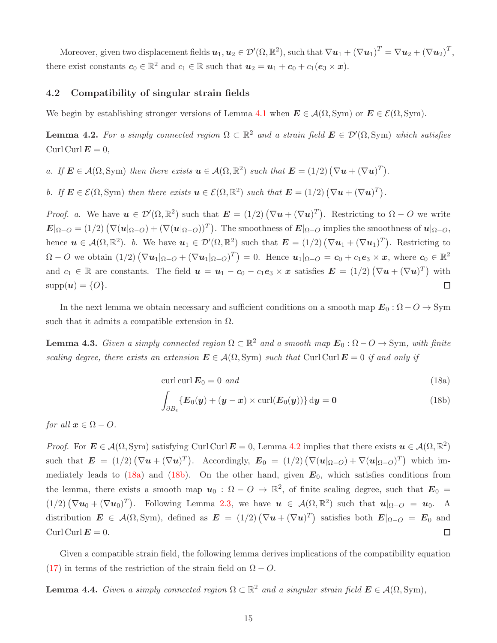Moreover, given two displacement fields  $\boldsymbol{u}_1,\boldsymbol{u}_2\in\mathcal{D}'(\Omega,\mathbb{R}^2),$  such that  $\nabla \boldsymbol{u}_1+(\nabla \boldsymbol{u}_1)^T=\nabla \boldsymbol{u}_2+(\nabla \boldsymbol{u}_2)^T,$ there exist constants  $c_0 \in \mathbb{R}^2$  and  $c_1 \in \mathbb{R}$  such that  $u_2 = u_1 + c_0 + c_1(e_3 \times x)$ .

### <span id="page-14-5"></span>4.2 Compatibility of singular strain fields

We begin by establishing stronger versions of Lemma [4.1](#page-13-6) when  $\mathbf{E} \in \mathcal{A}(\Omega, \text{Sym})$  or  $\mathbf{E} \in \mathcal{E}(\Omega, \text{Sym})$ .

<span id="page-14-1"></span>**Lemma 4.2.** For a simply connected region  $\Omega \subset \mathbb{R}^2$  and a strain field  $\mathbf{E} \in \mathcal{D}'(\Omega, \text{Sym})$  which satisfies Curl Curl  $E = 0$ ,

a. If  $\mathbf{E} \in \mathcal{A}(\Omega, \text{Sym})$  then there exists  $\mathbf{u} \in \mathcal{A}(\Omega, \mathbb{R}^2)$  such that  $\mathbf{E} = (1/2) (\nabla \mathbf{u} + (\nabla \mathbf{u})^T)$ .

b. If  $\mathbf{E} \in \mathcal{E}(\Omega, \text{Sym})$  then there exists  $\mathbf{u} \in \mathcal{E}(\Omega, \mathbb{R}^2)$  such that  $\mathbf{E} = (1/2) (\nabla \mathbf{u} + (\nabla \mathbf{u})^T)$ .

*Proof.* a. We have  $u \in \mathcal{D}'(\Omega,\mathbb{R}^2)$  such that  $\mathbf{E} = (1/2) (\nabla u + (\nabla u)^T)$ . Restricting to  $\Omega - O$  we write  $\bm{E}|_{\Omega-O} = (1/2) \left( \nabla(\bm{u}|_{\Omega-O}) + (\nabla(\bm{u}|_{\Omega-O}))^T \right)$ . The smoothness of  $\bm{E}|_{\Omega-O}$  implies the smoothness of  $\bm{u}|_{\Omega-O}$ , hence  $u \in A(\Omega, \mathbb{R}^2)$ . b. We have  $u_1 \in \mathcal{D}'(\Omega, \mathbb{R}^2)$  such that  $\mathbf{E} = (1/2) (\nabla u_1 + (\nabla u_1)^T)$ . Restricting to  $\Omega - O$  we obtain  $(1/2) (\nabla u_1|_{\Omega-O} + (\nabla u_1|_{\Omega-O})^T) = 0$ . Hence  $u_1|_{\Omega-O} = c_0 + c_1 e_3 \times x$ , where  $c_0 \in \mathbb{R}^2$ and  $c_1 \in \mathbb{R}$  are constants. The field  $u = u_1 - c_0 - c_1 e_3 \times x$  satisfies  $E = (1/2) (\nabla u + (\nabla u)^T)$  with  $supp(u) = \{O\}.$  $\Box$ 

In the next lemma we obtain necessary and sufficient conditions on a smooth map  $E_0: \Omega - O \to \text{Sym}$ such that it admits a compatible extension in  $\Omega$ .

<span id="page-14-4"></span>**Lemma 4.3.** Given a simply connected region  $\Omega \subset \mathbb{R}^2$  and a smooth map  $\mathbf{E}_0 : \Omega - \overline{O} \to \text{Sym}$ , with finite scaling degree, there exists an extension  $\mathbf{E} \in \mathcal{A}(\Omega, \text{Sym})$  such that Curl Curl  $\mathbf{E} = 0$  if and only if

<span id="page-14-2"></span>curl curl  $E_0 = 0$  and (18a)

<span id="page-14-3"></span>
$$
\int_{\partial B_{\epsilon}} \{E_0(y) + (\boldsymbol{y} - \boldsymbol{x}) \times \operatorname{curl}(\boldsymbol{E}_0(y))\} \, \mathrm{d}\boldsymbol{y} = \boldsymbol{0} \tag{18b}
$$

for all  $x \in \Omega - O$ .

*Proof.* For  $E \in \mathcal{A}(\Omega, \text{Sym})$  satisfying Curl Curl  $E = 0$ , Lemma [4.2](#page-14-1) implies that there exists  $u \in \mathcal{A}(\Omega, \mathbb{R}^2)$ such that  $\mathbf{E} = (1/2) (\nabla \mathbf{u} + (\nabla \mathbf{u})^T)$ . Accordingly,  $\mathbf{E}_0 = (1/2) (\nabla (\mathbf{u} |_{\Omega-O}) + \nabla (\mathbf{u} |_{\Omega-O})^T)$  which im-mediately leads to [\(18a\)](#page-14-2) and [\(18b\)](#page-14-3). On the other hand, given  $E_0$ , which satisfies conditions from the lemma, there exists a smooth map  $u_0: \Omega - \overline{O} \to \mathbb{R}^2$ , of finite scaling degree, such that  $E_0 =$  $(1/2)(\nabla u_0 + (\nabla u_0)^T)$ . Following Lemma [2.3,](#page-6-0) we have  $u \in \mathcal{A}(\Omega, \mathbb{R}^2)$  such that  $u|_{\Omega-O} = u_0$ . A distribution  $\mathbf{E} \in \mathcal{A}(\Omega, \mathrm{Sym})$ , defined as  $\mathbf{E} = (1/2) (\nabla \boldsymbol{u} + (\nabla \boldsymbol{u})^T)$  satisfies both  $\mathbf{E}|_{\Omega-O} = \mathbf{E}_0$  and Curl Curl  $E = 0$ .  $\Box$ 

Given a compatible strain field, the following lemma derives implications of the compatibility equation [\(17\)](#page-13-7) in terms of the restriction of the strain field on  $\Omega - O$ .

<span id="page-14-0"></span>**Lemma 4.4.** Given a simply connected region  $\Omega \subset \mathbb{R}^2$  and a singular strain field  $\mathbf{E} \in \mathcal{A}(\Omega, \text{Sym})$ ,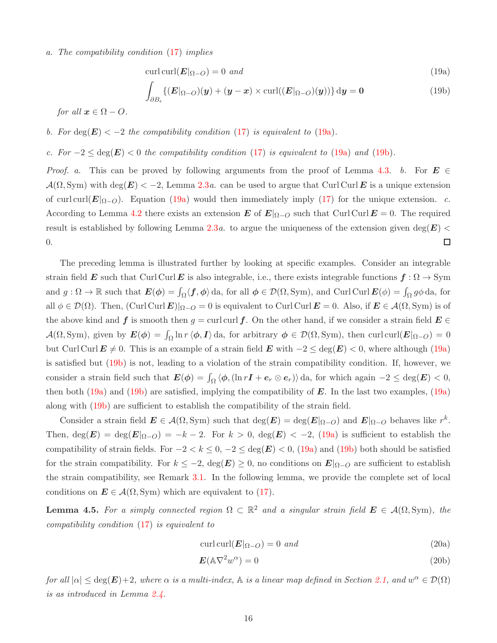#### a. The compatibility condition [\(17\)](#page-13-7) implies

<span id="page-15-1"></span>
$$
\operatorname{curl}\operatorname{curl}(\boldsymbol{E}|_{\Omega-O}) = 0 \ \text{and} \tag{19a}
$$

<span id="page-15-2"></span>
$$
\int_{\partial B_{\epsilon}} \{ (E|_{\Omega-O})(y) + (y-x) \times \operatorname{curl}((E|_{\Omega-O})(y)) \} dy = 0 \tag{19b}
$$

for all  $x \in \Omega - O$ .

b. For 
$$
deg(E) < -2
$$
 the compatibility condition (17) is equivalent to (19a).

c. For  $-2 \le \deg(E) < 0$  the compatibility condition [\(17\)](#page-13-7) is equivalent to [\(19a\)](#page-15-1) and [\(19b\)](#page-15-2).

*Proof.* a. This can be proved by following arguments from the proof of Lemma [4.3.](#page-14-4) b. For  $E \in$  $\mathcal{A}(\Omega, \mathrm{Sym})$  with deg( $\mathbf{E}) < -2$ , Lemma [2.3](#page-6-0)*a*. can be used to argue that Curl Curl E is a unique extension of curl curl( $E|_{\Omega-O}$ ). Equation [\(19a\)](#page-15-1) would then immediately imply [\(17\)](#page-13-7) for the unique extension. c. According to Lemma [4.2](#page-14-1) there exists an extension E of  $E|_{\Omega-O}$  such that Curl Curl  $E = 0$ . The required result is established by following Lemma [2.3](#page-6-0)a. to argue the uniqueness of the extension given deg( $E$ ) < 0.  $\Box$ 

The preceding lemma is illustrated further by looking at specific examples. Consider an integrable strain field E such that Curl Curl E is also integrable, i.e., there exists integrable functions  $f : \Omega \to \text{Sym}$ and  $g: \Omega \to \mathbb{R}$  such that  $\mathbf{E}(\phi) = \int_{\Omega} \langle f, \phi \rangle$  da, for all  $\phi \in \mathcal{D}(\Omega, \text{Sym})$ , and Curl Curl  $\mathbf{E}(\phi) = \int_{\Omega} g \phi$  da, for all  $\phi \in \mathcal{D}(\Omega)$ . Then,  $(\text{Curl}\,\mathbf{Curl}\,\mathbf{E})|_{\Omega-O} = 0$  is equivalent to Curl Curl  $\mathbf{E} = 0$ . Also, if  $\mathbf{E} \in \mathcal{A}(\Omega, \text{Sym})$  is of the above kind and f is smooth then  $g = \text{curl curl } f$ . On the other hand, if we consider a strain field  $E \in$  $\mathcal{A}(\Omega, \text{Sym})$ , given by  $\boldsymbol{E}(\boldsymbol{\phi}) = \int_{\Omega} \ln r \, \langle \boldsymbol{\phi}, \boldsymbol{I} \rangle$  da, for arbitrary  $\boldsymbol{\phi} \in \mathcal{D}(\Omega, \text{Sym})$ , then curl curl $(\boldsymbol{E}|_{\Omega-O}) = 0$ but Curl Curl  $E \neq 0$ . This is an example of a strain field E with  $-2 \leq \deg(E) < 0$ , where although [\(19a\)](#page-15-1) is satisfied but [\(19b\)](#page-15-2) is not, leading to a violation of the strain compatibility condition. If, however, we consider a strain field such that  $E(\phi) = \int_{\Omega} \langle \phi, (\ln rI + e_r \otimes e_r) \rangle \, da$ , for which again  $-2 \le \deg(E) < 0$ , then both [\(19a\)](#page-15-1) and [\(19b\)](#page-15-2) are satisfied, implying the compatibility of  $E$ . In the last two examples, (19a) along with [\(19b\)](#page-15-2) are sufficient to establish the compatibility of the strain field.

Consider a strain field  $E \in \mathcal{A}(\Omega, \text{Sym})$  such that  $\deg(E) = \deg(E|_{\Omega-O})$  and  $E|_{\Omega-O}$  behaves like  $r^k$ . Then,  $\deg(E) = \deg(E|_{\Omega-O}) = -k - 2$ . For  $k > 0$ ,  $\deg(E) < -2$ , [\(19a\)](#page-15-1) is sufficient to establish the compatibility of strain fields. For  $-2 < k \leq 0, -2 \leq \text{deg}(E) < 0$ , [\(19a\)](#page-15-1) and [\(19b\)](#page-15-2) both should be satisfied for the strain compatibility. For  $k \leq -2$ ,  $\deg(E) \geq 0$ , no conditions on  $E|_{\Omega-O}$  are sufficient to establish the strain compatibility, see Remark [3.1.](#page-12-0) In the following lemma, we provide the complete set of local conditions on  $E \in \mathcal{A}(\Omega, \text{Sym})$  which are equivalent to [\(17\)](#page-13-7).

<span id="page-15-0"></span>**Lemma 4.5.** For a simply connected region  $\Omega \subset \mathbb{R}^2$  and a singular strain field  $\mathbf{E} \in \mathcal{A}(\Omega, \text{Sym})$ , the compatibility condition [\(17\)](#page-13-7) is equivalent to

<span id="page-15-3"></span>
$$
\operatorname{curl}\operatorname{curl}(\boldsymbol{E}|_{\Omega-O}) = 0 \ \text{and} \tag{20a}
$$

<span id="page-15-4"></span>
$$
E(\mathbb{A}\nabla^2 w^{\alpha}) = 0\tag{20b}
$$

for all  $|\alpha| \leq deg(E)+2$ , where  $\alpha$  is a multi-index,  $\mathbb A$  is a linear map defined in Section [2.1,](#page-2-1) and  $w^{\alpha} \in \mathcal D(\Omega)$ is as introduced in Lemma [2.4.](#page-7-3)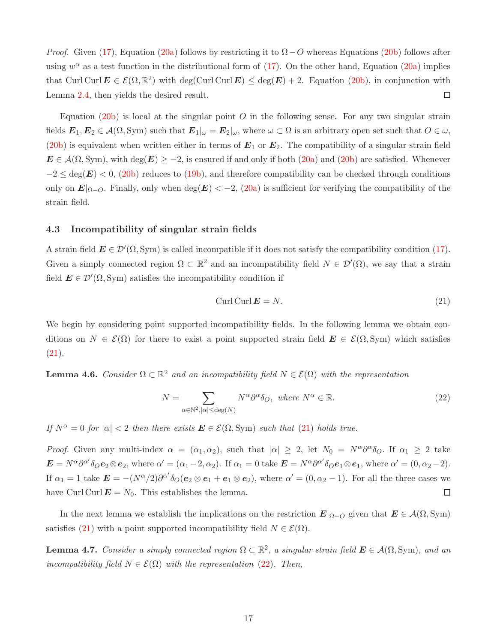*Proof.* Given [\(17\)](#page-13-7), Equation [\(20a\)](#page-15-3) follows by restricting it to  $\Omega - O$  whereas Equations [\(20b\)](#page-15-4) follows after using  $w^{\alpha}$  as a test function in the distributional form of [\(17\)](#page-13-7). On the other hand, Equation [\(20a\)](#page-15-3) implies that Curl Curl  $E \in \mathcal{E}(\Omega,\mathbb{R}^2)$  with deg(Curl Curl  $E \leq \deg(E) + 2$ . Equation [\(20b\)](#page-15-4), in conjunction with Lemma [2.4,](#page-7-3) then yields the desired result. □

Equation [\(20b\)](#page-15-4) is local at the singular point  $O$  in the following sense. For any two singular strain fields  $E_1, E_2 \in \mathcal{A}(\Omega, \text{Sym})$  such that  $E_1|_{\omega} = E_2|_{\omega}$ , where  $\omega \subset \Omega$  is an arbitrary open set such that  $O \in \omega$ , [\(20b\)](#page-15-4) is equivalent when written either in terms of  $E_1$  or  $E_2$ . The compatibility of a singular strain field  $E \in \mathcal{A}(\Omega, \text{Sym})$ , with  $\text{deg}(E) \geq -2$ , is ensured if and only if both  $(20a)$  and  $(20b)$  are satisfied. Whenever  $-2 \le \deg(E) < 0$ , [\(20b\)](#page-15-4) reduces to [\(19b\)](#page-15-2), and therefore compatibility can be checked through conditions only on  $E|_{\Omega-O}$ . Finally, only when deg( $E$ ) < -2, [\(20a\)](#page-15-3) is sufficient for verifying the compatibility of the strain field.

### 4.3 Incompatibility of singular strain fields

A strain field  $\mathbf{E} \in \mathcal{D}'(\Omega, \text{Sym})$  is called incompatible if it does not satisfy the compatibility condition [\(17\)](#page-13-7). Given a simply connected region  $\Omega \subset \mathbb{R}^2$  and an incompatibility field  $N \in \mathcal{D}'(\Omega)$ , we say that a strain field  $\mathbf{E} \in \mathcal{D}'(\Omega, \mathrm{Sym})$  satisfies the incompatibility condition if

<span id="page-16-1"></span>
$$
Curl Curl \mathbf{E} = N. \tag{21}
$$

We begin by considering point supported incompatibility fields. In the following lemma we obtain conditions on  $N \in \mathcal{E}(\Omega)$  for there to exist a point supported strain field  $\mathbf{E} \in \mathcal{E}(\Omega, \text{Sym})$  which satisfies [\(21\)](#page-16-1).

<span id="page-16-3"></span>**Lemma 4.6.** Consider  $\Omega \subset \mathbb{R}^2$  and an incompatibility field  $N \in \mathcal{E}(\Omega)$  with the representation

<span id="page-16-2"></span>
$$
N = \sum_{\alpha \in \mathbb{N}^2, |\alpha| \le \deg(N)} N^{\alpha} \partial^{\alpha} \delta_O, \text{ where } N^{\alpha} \in \mathbb{R}.
$$
 (22)

If  $N^{\alpha} = 0$  for  $|\alpha| < 2$  then there exists  $\mathbf{E} \in \mathcal{E}(\Omega, \text{Sym})$  such that [\(21\)](#page-16-1) holds true.

*Proof.* Given any multi-index  $\alpha = (\alpha_1, \alpha_2)$ , such that  $|\alpha| \geq 2$ , let  $N_0 = N^{\alpha} \partial^{\alpha} \delta_O$ . If  $\alpha_1 \geq 2$  take  $\mathbf{E} = N^{\alpha} \partial^{\alpha'} \delta_O \mathbf{e}_2 \otimes \mathbf{e}_2$ , where  $\alpha' = (\alpha_1 - 2, \alpha_2)$ . If  $\alpha_1 = 0$  take  $\mathbf{E} = N^{\alpha} \partial^{\alpha'} \delta_O \mathbf{e}_1 \otimes \mathbf{e}_1$ , where  $\alpha' = (0, \alpha_2 - 2)$ . If  $\alpha_1 = 1$  take  $\mathbf{E} = -(N^{\alpha}/2)\partial^{\alpha'}\delta_O(\mathbf{e}_2 \otimes \mathbf{e}_1 + \mathbf{e}_1 \otimes \mathbf{e}_2)$ , where  $\alpha' = (0, \alpha_2 - 1)$ . For all the three cases we have Curl Curl  $\mathbf{E} = N_0$ . This establishes the lemma.  $\Box$ 

In the next lemma we establish the implications on the restriction  $E|_{\Omega-O}$  given that  $E \in \mathcal{A}(\Omega, \text{Sym})$ satisfies [\(21\)](#page-16-1) with a point supported incompatibility field  $N \in \mathcal{E}(\Omega)$ .

<span id="page-16-0"></span>**Lemma 4.7.** Consider a simply connected region  $\Omega \subset \mathbb{R}^2$ , a singular strain field  $\boldsymbol{E} \in \mathcal{A}(\Omega, \text{Sym})$ , and an incompatibility field  $N \in \mathcal{E}(\Omega)$  with the representation [\(22\)](#page-16-2). Then,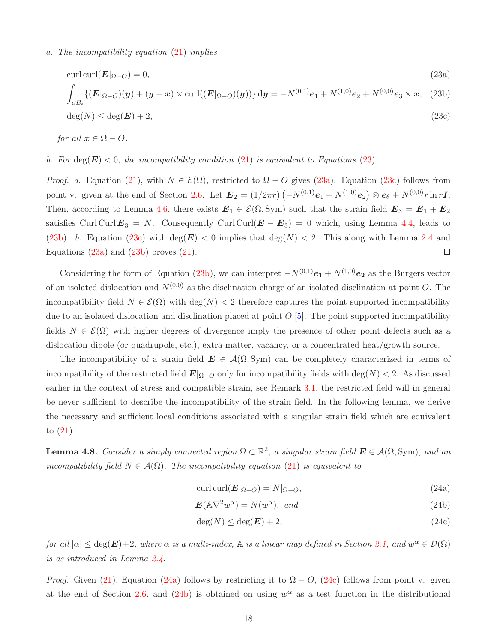### a. The incompatibility equation [\(21\)](#page-16-1) implies

<span id="page-17-4"></span><span id="page-17-2"></span><span id="page-17-1"></span>
$$
\operatorname{curl}\operatorname{curl}(\boldsymbol{E}|_{\Omega-O})=0,\tag{23a}
$$

$$
\int_{\partial B_{\epsilon}} \{ (E|_{\Omega-O})(y) + (y-x) \times \operatorname{curl}((E|_{\Omega-O})(y)) \} dy = -N^{(0,1)}e_1 + N^{(1,0)}e_2 + N^{(0,0)}e_3 \times x, \tag{23b}
$$

<span id="page-17-3"></span>
$$
\deg(N) \le \deg(E) + 2,\tag{23c}
$$

for all  $x \in \Omega - O$ .

### b. For  $\deg(E) < 0$ , the incompatibility condition [\(21\)](#page-16-1) is equivalent to Equations [\(23\)](#page-17-1).

*Proof.* a. Equation [\(21\)](#page-16-1), with  $N \in \mathcal{E}(\Omega)$ , restricted to  $\Omega - O$  gives [\(23a\)](#page-17-2). Equation [\(23c\)](#page-17-3) follows from point v. given at the end of Section [2.6.](#page-5-2) Let  $E_2 = (1/2\pi r) (-N^{(0,1)}e_1 + N^{(1,0)}e_2) \otimes e_{\theta} + N^{(0,0)}r \ln r \mathbf{I}.$ Then, according to Lemma [4.6,](#page-16-3) there exists  $E_1 \in \mathcal{E}(\Omega, \text{Sym})$  such that the strain field  $E_3 = E_1 + E_2$ satisfies Curl Curl  $E_3 = N$ . Consequently Curl Curl( $E - E_3$ ) = 0 which, using Lemma [4.4,](#page-14-0) leads to [\(23b\)](#page-17-4). b. Equation [\(23c\)](#page-17-3) with deg(E)  $<$  0 implies that deg(N)  $<$  2. This along with Lemma [2.4](#page-7-3) and  $\Box$ Equations  $(23a)$  and  $(23b)$  proves  $(21)$ .

Considering the form of Equation [\(23b\)](#page-17-4), we can interpret  $-N^{(0,1)}e_1 + N^{(1,0)}e_2$  as the Burgers vector of an isolated dislocation and  $N^{(0,0)}$  as the disclination charge of an isolated disclination at point O. The incompatibility field  $N \in \mathcal{E}(\Omega)$  with deg(N) < 2 therefore captures the point supported incompatibility due to an isolated dislocation and disclination placed at point  $O(5)$ . The point supported incompatibility fields  $N \in \mathcal{E}(\Omega)$  with higher degrees of divergence imply the presence of other point defects such as a dislocation dipole (or quadrupole, etc.), extra-matter, vacancy, or a concentrated heat/growth source.

The incompatibility of a strain field  $E \in \mathcal{A}(\Omega, \text{Sym})$  can be completely characterized in terms of incompatibility of the restricted field  $E|_{\Omega-O}$  only for incompatibility fields with deg(N) < 2. As discussed earlier in the context of stress and compatible strain, see Remark [3.1,](#page-12-0) the restricted field will in general be never sufficient to describe the incompatibility of the strain field. In the following lemma, we derive the necessary and sufficient local conditions associated with a singular strain field which are equivalent to [\(21\)](#page-16-1).

<span id="page-17-0"></span>**Lemma 4.8.** Consider a simply connected region  $\Omega \subset \mathbb{R}^2$ , a singular strain field  $\boldsymbol{E} \in \mathcal{A}(\Omega, \text{Sym})$ , and an incompatibility field  $N \in \mathcal{A}(\Omega)$ . The incompatibility equation [\(21\)](#page-16-1) is equivalent to

<span id="page-17-7"></span><span id="page-17-5"></span>
$$
\operatorname{curl}\operatorname{curl}(\boldsymbol{E}|_{\Omega-O}) = N|_{\Omega-O},\tag{24a}
$$

$$
E(\mathbb{A}\nabla^2 w^{\alpha}) = N(w^{\alpha}), \text{ and}
$$
 (24b)

<span id="page-17-6"></span>
$$
\deg(N) \le \deg(E) + 2,\tag{24c}
$$

for all  $|\alpha| \leq deg(E)+2$ , where  $\alpha$  is a multi-index,  $\mathbb A$  is a linear map defined in Section [2.1,](#page-2-1) and  $w^{\alpha} \in \mathcal{D}(\Omega)$ is as introduced in Lemma [2.4.](#page-7-3)

*Proof.* Given [\(21\)](#page-16-1), Equation [\(24a\)](#page-17-5) follows by restricting it to  $\Omega - O$ , [\(24c\)](#page-17-6) follows from point v. given at the end of Section [2.6,](#page-5-2) and  $(24b)$  is obtained on using  $w^{\alpha}$  as a test function in the distributional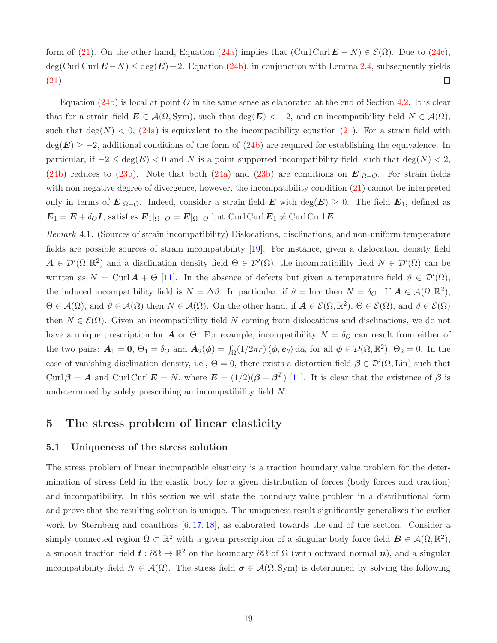form of [\(21\)](#page-16-1). On the other hand, Equation [\(24a\)](#page-17-5) implies that  $(\text{Curl Curl}\,\boldsymbol{E} - N) \in \mathcal{E}(\Omega)$ . Due to [\(24c\)](#page-17-6),  $\deg(\text{Curl Curl } E - N) \leq \deg(E) + 2.$  Equation [\(24b\)](#page-17-7), in conjunction with Lemma [2.4,](#page-7-3) subsequently yields [\(21\)](#page-16-1).  $\Box$ 

Equation [\(24b\)](#page-17-7) is local at point O in the same sense as elaborated at the end of Section [4.2.](#page-14-5) It is clear that for a strain field  $\mathbf{E} \in \mathcal{A}(\Omega, \mathrm{Sym})$ , such that  $\deg(\mathbf{E}) < -2$ , and an incompatibility field  $N \in \mathcal{A}(\Omega)$ , such that  $deg(N) < 0$ , [\(24a\)](#page-17-5) is equivalent to the incompatibility equation [\(21\)](#page-16-1). For a strain field with  $deg(E) \ge -2$ , additional conditions of the form of [\(24b\)](#page-17-7) are required for establishing the equivalence. In particular, if  $-2 \le \deg(E) < 0$  and N is a point supported incompatibility field, such that  $\deg(N) < 2$ , [\(24b\)](#page-17-7) reduces to [\(23b\)](#page-17-4). Note that both [\(24a\)](#page-17-5) and (23b) are conditions on  $E|_{\Omega-O}$ . For strain fields with non-negative degree of divergence, however, the incompatibility condition  $(21)$  cannot be interpreted only in terms of  $E|_{\Omega-O}$ . Indeed, consider a strain field E with  $\deg(E) \geq 0$ . The field  $E_1$ , defined as  $\mathbf{E}_1 = \mathbf{E} + \delta_O \mathbf{I}$ , satisfies  $\mathbf{E}_1|_{\Omega-O} = \mathbf{E}|_{\Omega-O}$  but Curl Curl  $\mathbf{E}_1 \neq \text{Curl Curl} \mathbf{E}$ .

<span id="page-18-1"></span>Remark 4.1. (Sources of strain incompatibility) Dislocations, disclinations, and non-uniform temperature fields are possible sources of strain incompatibility [\[19\]](#page-28-0). For instance, given a dislocation density field  $A \in \mathcal{D}'(\Omega,\mathbb{R}^2)$  and a disclination density field  $\Theta \in \mathcal{D}'(\Omega)$ , the incompatibility field  $N \in \mathcal{D}'(\Omega)$  can be written as  $N = \text{Curl }A + \Theta$  [\[11\]](#page-27-13). In the absence of defects but given a temperature field  $\vartheta \in \mathcal{D}'(\Omega)$ , the induced incompatibility field is  $N = \Delta \vartheta$ . In particular, if  $\vartheta = \ln r$  then  $N = \delta_O$ . If  $\mathbf{A} \in \mathcal{A}(\Omega, \mathbb{R}^2)$ ,  $\Theta \in \mathcal{A}(\Omega)$ , and  $\vartheta \in \mathcal{A}(\Omega)$  then  $N \in \mathcal{A}(\Omega)$ . On the other hand, if  $\mathbf{A} \in \mathcal{E}(\Omega, \mathbb{R}^2)$ ,  $\Theta \in \mathcal{E}(\Omega)$ , and  $\vartheta \in \mathcal{E}(\Omega)$ then  $N \in \mathcal{E}(\Omega)$ . Given an incompatibility field N coming from dislocations and disclinations, we do not have a unique prescription for A or  $\Theta$ . For example, incompatibility  $N = \delta_Q$  can result from either of the two pairs:  $\mathbf{A}_1 = \mathbf{0}$ ,  $\Theta_1 = \delta_O$  and  $\mathbf{A}_2(\phi) = \int_{\Omega} (1/2\pi r) \langle \phi, e_{\theta} \rangle$  da, for all  $\phi \in \mathcal{D}(\Omega, \mathbb{R}^2)$ ,  $\Theta_2 = 0$ . In the case of vanishing disclination density, i.e.,  $\Theta = 0$ , there exists a distortion field  $\beta \in \mathcal{D}'(\Omega, \text{Lin})$  such that Curlβ = A and Curl Curl  $\mathbf{E} = N$ , where  $\mathbf{E} = (1/2)(\beta + \beta^T)$  [\[11\]](#page-27-13). It is clear that the existence of  $\beta$  is undetermined by solely prescribing an incompatibility field N.

### <span id="page-18-0"></span>5 The stress problem of linear elasticity

### 5.1 Uniqueness of the stress solution

The stress problem of linear incompatible elasticity is a traction boundary value problem for the determination of stress field in the elastic body for a given distribution of forces (body forces and traction) and incompatibility. In this section we will state the boundary value problem in a distributional form and prove that the resulting solution is unique. The uniqueness result significantly generalizes the earlier work by Sternberg and coauthors [\[6,](#page-27-1) [17,](#page-27-6) [18\]](#page-27-7), as elaborated towards the end of the section. Consider a simply connected region  $\Omega \subset \mathbb{R}^2$  with a given prescription of a singular body force field  $\mathbf{B} \in \mathcal{A}(\Omega, \mathbb{R}^2)$ , a smooth traction field  $t : \partial\Omega \to \mathbb{R}^2$  on the boundary  $\partial\Omega$  of  $\Omega$  (with outward normal n), and a singular incompatibility field  $N \in \mathcal{A}(\Omega)$ . The stress field  $\sigma \in \mathcal{A}(\Omega, \text{Sym})$  is determined by solving the following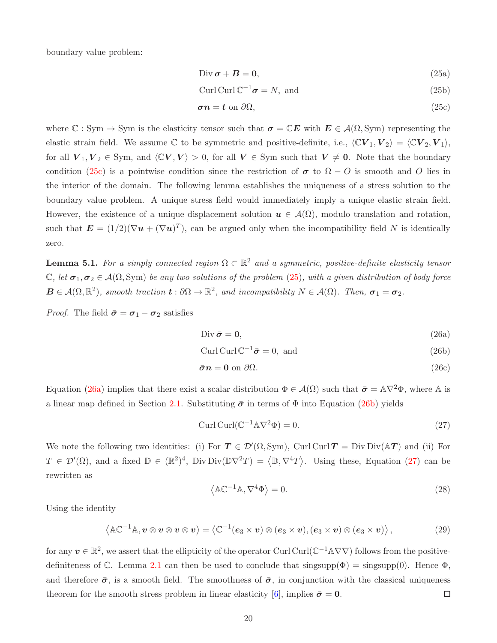boundary value problem:

<span id="page-19-2"></span>
$$
Div \sigma + B = 0, \tag{25a}
$$

$$
Curl\operatorname{Curl} \mathbb{C}^{-1} \sigma = N, \text{ and } \tag{25b}
$$

<span id="page-19-1"></span>
$$
\sigma n = t \text{ on } \partial \Omega,
$$
\n<sup>(25c)</sup>

where  $\mathbb{C}: Sym \to Sym$  is the elasticity tensor such that  $\sigma = \mathbb{C}E$  with  $E \in \mathcal{A}(\Omega, Sym)$  representing the elastic strain field. We assume  $\mathbb C$  to be symmetric and positive-definite, i.e.,  $\langle \mathbb C V_1, V_2 \rangle = \langle \mathbb C V_2, V_1 \rangle$ , for all  $V_1, V_2 \in \text{Sym}$ , and  $\langle CV, V \rangle > 0$ , for all  $V \in \text{Sym}$  such that  $V \neq 0$ . Note that the boundary condition [\(25c\)](#page-19-1) is a pointwise condition since the restriction of  $\sigma$  to  $\Omega - O$  is smooth and O lies in the interior of the domain. The following lemma establishes the uniqueness of a stress solution to the boundary value problem. A unique stress field would immediately imply a unique elastic strain field. However, the existence of a unique displacement solution  $u \in \mathcal{A}(\Omega)$ , modulo translation and rotation, such that  $\mathbf{E} = (1/2)(\nabla \mathbf{u} + (\nabla \mathbf{u})^T)$ , can be argued only when the incompatibility field N is identically zero.

<span id="page-19-0"></span>**Lemma 5.1.** For a simply connected region  $\Omega \subset \mathbb{R}^2$  and a symmetric, positive-definite elasticity tensor C, let  $\sigma_1, \sigma_2 \in A(\Omega, \text{Sym})$  be any two solutions of the problem [\(25\)](#page-19-2), with a given distribution of body force  $B \in \mathcal{A}(\Omega,\mathbb{R}^2)$ , smooth traction  $\mathbf{t}: \partial\Omega \to \mathbb{R}^2$ , and incompatibility  $N \in \mathcal{A}(\Omega)$ . Then,  $\sigma_1 = \sigma_2$ .

*Proof.* The field  $\bar{\sigma} = \sigma_1 - \sigma_2$  satisfies

<span id="page-19-4"></span><span id="page-19-3"></span>
$$
\text{Div}\,\bar{\boldsymbol{\sigma}}=\mathbf{0},\tag{26a}
$$

$$
Curl Curl\mathbb{C}^{-1}\bar{\sigma} = 0, \text{ and} \qquad (26b)
$$

$$
\bar{\sigma}n = 0 \text{ on } \partial\Omega. \tag{26c}
$$

Equation [\(26a\)](#page-19-3) implies that there exist a scalar distribution  $\Phi \in \mathcal{A}(\Omega)$  such that  $\bar{\sigma} = \mathbb{A}\nabla^2 \Phi$ , where  $\mathbb{A}$  is a linear map defined in Section [2.1.](#page-2-1) Substituting  $\bar{\sigma}$  in terms of  $\Phi$  into Equation [\(26b\)](#page-19-4) yields

<span id="page-19-5"></span>
$$
\operatorname{Curl}(\mathbb{C}^{-1}\mathbb{A}\nabla^2\Phi) = 0. \tag{27}
$$

We note the following two identities: (i) For  $T \in \mathcal{D}'(\Omega, \text{Sym})$ , Curl Curl  $T = Div Div(\mathbb{A}T)$  and (ii) For  $T \in \mathcal{D}'(\Omega)$ , and a fixed  $\mathbb{D} \in (\mathbb{R}^2)^4$ , Div Div $(\mathbb{D} \nabla^2 T) = \langle \mathbb{D}, \nabla^4 T \rangle$ . Using these, Equation [\(27\)](#page-19-5) can be rewritten as

$$
\langle \mathbb{A} \mathbb{C}^{-1} \mathbb{A}, \nabla^4 \Phi \rangle = 0. \tag{28}
$$

Using the identity

$$
\left\langle \mathbb{AC}^{-1}\mathbb{A}, v \otimes v \otimes v \otimes v \right\rangle = \left\langle \mathbb{C}^{-1}(e_3 \times v) \otimes (e_3 \times v), (e_3 \times v) \otimes (e_3 \times v) \right\rangle, \tag{29}
$$

for any  $v \in \mathbb{R}^2$ , we assert that the ellipticity of the operator Curl Curl( $\mathbb{C}^{-1} \mathbb{A} \nabla \nabla$ ) follows from the positive-definiteness of C. Lemma [2.1](#page-5-3) can then be used to conclude that  $\text{singsupp}(\Phi) = \text{singsupp}(0)$ . Hence  $\Phi$ , and therefore  $\bar{\sigma}$ , is a smooth field. The smoothness of  $\bar{\sigma}$ , in conjunction with the classical uniqueness theorem for the smooth stress problem in linear elasticity [\[6\]](#page-27-1), implies  $\bar{\sigma} = 0$ .  $\Box$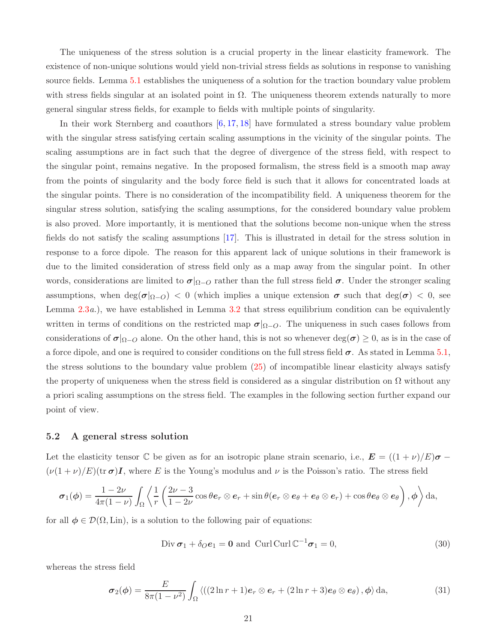The uniqueness of the stress solution is a crucial property in the linear elasticity framework. The existence of non-unique solutions would yield non-trivial stress fields as solutions in response to vanishing source fields. Lemma [5.1](#page-19-0) establishes the uniqueness of a solution for the traction boundary value problem with stress fields singular at an isolated point in  $\Omega$ . The uniqueness theorem extends naturally to more general singular stress fields, for example to fields with multiple points of singularity.

In their work Sternberg and coauthors  $[6, 17, 18]$  $[6, 17, 18]$  $[6, 17, 18]$  $[6, 17, 18]$  have formulated a stress boundary value problem with the singular stress satisfying certain scaling assumptions in the vicinity of the singular points. The scaling assumptions are in fact such that the degree of divergence of the stress field, with respect to the singular point, remains negative. In the proposed formalism, the stress field is a smooth map away from the points of singularity and the body force field is such that it allows for concentrated loads at the singular points. There is no consideration of the incompatibility field. A uniqueness theorem for the singular stress solution, satisfying the scaling assumptions, for the considered boundary value problem is also proved. More importantly, it is mentioned that the solutions become non-unique when the stress fields do not satisfy the scaling assumptions [\[17\]](#page-27-6). This is illustrated in detail for the stress solution in response to a force dipole. The reason for this apparent lack of unique solutions in their framework is due to the limited consideration of stress field only as a map away from the singular point. In other words, considerations are limited to  $\sigma|_{\Omega-O}$  rather than the full stress field  $\sigma$ . Under the stronger scaling assumptions, when  $\deg(\sigma|_{\Omega-O})$  < 0 (which implies a unique extension  $\sigma$  such that  $\deg(\sigma)$  < 0, see Lemma [2.3](#page-6-0)*a*.), we have established in Lemma [3.2](#page-11-1) that stress equilibrium condition can be equivalently written in terms of conditions on the restricted map  $\sigma|_{\Omega-O}$ . The uniqueness in such cases follows from considerations of  $\sigma|_{\Omega-O}$  alone. On the other hand, this is not so whenever deg( $\sigma$ ) ≥ 0, as is in the case of a force dipole, and one is required to consider conditions on the full stress field  $\sigma$ . As stated in Lemma [5.1,](#page-19-0) the stress solutions to the boundary value problem [\(25\)](#page-19-2) of incompatible linear elasticity always satisfy the property of uniqueness when the stress field is considered as a singular distribution on  $\Omega$  without any a priori scaling assumptions on the stress field. The examples in the following section further expand our point of view.

### 5.2 A general stress solution

Let the elasticity tensor C be given as for an isotropic plane strain scenario, i.e.,  $\mathbf{E} = ((1 + \nu)/E)\boldsymbol{\sigma}$  $(\nu(1+\nu)/E)(\text{tr }\sigma)I$ , where E is the Young's modulus and  $\nu$  is the Poisson's ratio. The stress field

$$
\boldsymbol{\sigma}_1(\boldsymbol{\phi}) = \frac{1-2\nu}{4\pi(1-\nu)} \int_{\Omega} \left\langle \frac{1}{r} \left( \frac{2\nu-3}{1-2\nu} \cos \theta \boldsymbol{e}_r \otimes \boldsymbol{e}_r + \sin \theta (\boldsymbol{e}_r \otimes \boldsymbol{e}_{\theta} + \boldsymbol{e}_{\theta} \otimes \boldsymbol{e}_r) + \cos \theta \boldsymbol{e}_{\theta} \otimes \boldsymbol{e}_{\theta} \right), \boldsymbol{\phi} \right\rangle da,
$$

for all  $\phi \in \mathcal{D}(\Omega, \text{Lin})$ , is a solution to the following pair of equations:

$$
\text{Div}\,\boldsymbol{\sigma}_1 + \delta_O \boldsymbol{e}_1 = \mathbf{0} \text{ and } \text{Curl}\,\mathbb{C}^{-1}\boldsymbol{\sigma}_1 = 0,\tag{30}
$$

whereas the stress field

$$
\boldsymbol{\sigma}_2(\boldsymbol{\phi}) = \frac{E}{8\pi(1-\nu^2)} \int_{\Omega} \left\langle ((2\ln r + 1)\boldsymbol{e}_r \otimes \boldsymbol{e}_r + (2\ln r + 3)\boldsymbol{e}_\theta \otimes \boldsymbol{e}_\theta), \boldsymbol{\phi} \right\rangle d\mathbf{a},\tag{31}
$$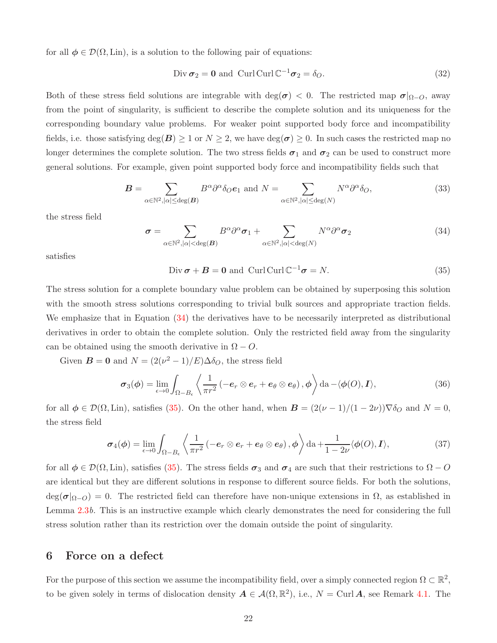for all  $\phi \in \mathcal{D}(\Omega, \text{Lin})$ , is a solution to the following pair of equations:

$$
\text{Div}\,\boldsymbol{\sigma}_2 = \mathbf{0} \text{ and } \text{Curl}\,\mathbb{C}^{-1}\boldsymbol{\sigma}_2 = \delta_O. \tag{32}
$$

Both of these stress field solutions are integrable with deg( $\sigma$ ) < 0. The restricted map  $\sigma|_{\Omega-O}$ , away from the point of singularity, is sufficient to describe the complete solution and its uniqueness for the corresponding boundary value problems. For weaker point supported body force and incompatibility fields, i.e. those satisfying  $\deg(B) \ge 1$  or  $N \ge 2$ , we have  $\deg(\sigma) \ge 0$ . In such cases the restricted map no longer determines the complete solution. The two stress fields  $\sigma_1$  and  $\sigma_2$  can be used to construct more general solutions. For example, given point supported body force and incompatibility fields such that

$$
\boldsymbol{B} = \sum_{\alpha \in \mathbb{N}^2, |\alpha| \le \deg(\boldsymbol{B})} B^{\alpha} \partial^{\alpha} \delta_O \boldsymbol{e}_1 \text{ and } N = \sum_{\alpha \in \mathbb{N}^2, |\alpha| \le \deg(N)} N^{\alpha} \partial^{\alpha} \delta_O,
$$
(33)

the stress field

<span id="page-21-1"></span>
$$
\sigma = \sum_{\alpha \in \mathbb{N}^2, |\alpha| < \deg(B)} B^{\alpha} \partial^{\alpha} \sigma_1 + \sum_{\alpha \in \mathbb{N}^2, |\alpha| < \deg(N)} N^{\alpha} \partial^{\alpha} \sigma_2 \tag{34}
$$

satisfies

<span id="page-21-2"></span>
$$
\text{Div}\,\boldsymbol{\sigma} + \boldsymbol{B} = \mathbf{0} \text{ and } \text{Curl}\,\mathbb{C}^{-1}\boldsymbol{\sigma} = N. \tag{35}
$$

The stress solution for a complete boundary value problem can be obtained by superposing this solution with the smooth stress solutions corresponding to trivial bulk sources and appropriate traction fields. We emphasize that in Equation  $(34)$  the derivatives have to be necessarily interpreted as distributional derivatives in order to obtain the complete solution. Only the restricted field away from the singularity can be obtained using the smooth derivative in  $\Omega - O$ .

Given  $\mathbf{B} = \mathbf{0}$  and  $N = (2(\nu^2 - 1)/E)\Delta \delta_O$ , the stress field

$$
\boldsymbol{\sigma}_{3}(\boldsymbol{\phi}) = \lim_{\epsilon \to 0} \int_{\Omega - B_{\epsilon}} \left\langle \frac{1}{\pi r^{2}} \left( -\boldsymbol{e}_{r} \otimes \boldsymbol{e}_{r} + \boldsymbol{e}_{\theta} \otimes \boldsymbol{e}_{\theta} \right), \boldsymbol{\phi} \right\rangle \mathrm{da} - \langle \boldsymbol{\phi}(O), \boldsymbol{I} \rangle, \tag{36}
$$

for all  $\phi \in \mathcal{D}(\Omega, \text{Lin})$ , satisfies [\(35\)](#page-21-2). On the other hand, when  $\mathbf{B} = (2(\nu - 1)/(1 - 2\nu))\nabla \delta_O$  and  $N = 0$ , the stress field

$$
\sigma_4(\phi) = \lim_{\epsilon \to 0} \int_{\Omega - B_{\epsilon}} \left\langle \frac{1}{\pi r^2} \left( -e_r \otimes e_r + e_{\theta} \otimes e_{\theta} \right), \phi \right\rangle \mathrm{da} + \frac{1}{1 - 2\nu} \langle \phi(0), I \rangle, \tag{37}
$$

for all  $\phi \in \mathcal{D}(\Omega, \text{Lin})$ , satisfies [\(35\)](#page-21-2). The stress fields  $\sigma_3$  and  $\sigma_4$  are such that their restrictions to  $\Omega - O$ are identical but they are different solutions in response to different source fields. For both the solutions,  $\deg(\sigma|_{\Omega-O}) = 0$ . The restricted field can therefore have non-unique extensions in  $\Omega$ , as established in Lemma [2.3](#page-6-0)b. This is an instructive example which clearly demonstrates the need for considering the full stress solution rather than its restriction over the domain outside the point of singularity.

### <span id="page-21-0"></span>6 Force on a defect

For the purpose of this section we assume the incompatibility field, over a simply connected region  $\Omega \subset \mathbb{R}^2$ , to be given solely in terms of dislocation density  $A \in \mathcal{A}(\Omega, \mathbb{R}^2)$ , i.e.,  $N = \text{Curl }A$ , see Remark [4.1.](#page-18-1) The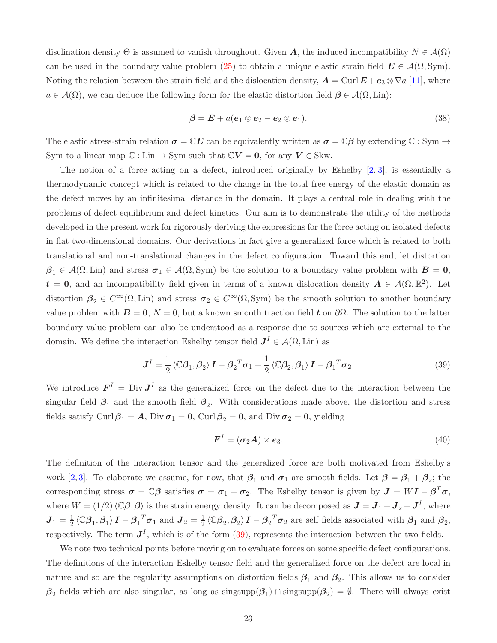disclination density  $\Theta$  is assumed to vanish throughout. Given A, the induced incompatibility  $N \in \mathcal{A}(\Omega)$ can be used in the boundary value problem [\(25\)](#page-19-2) to obtain a unique elastic strain field  $E \in A(\Omega, Sym)$ . Noting the relation between the strain field and the dislocation density,  $\mathbf{A} = \text{Curl}\,\mathbf{E} + \mathbf{e}_3 \otimes \nabla a$  [\[11\]](#page-27-13), where  $a \in \mathcal{A}(\Omega)$ , we can deduce the following form for the elastic distortion field  $\beta \in \mathcal{A}(\Omega, \text{Lin})$ :

$$
\boldsymbol{\beta} = \boldsymbol{E} + a(\boldsymbol{e}_1 \otimes \boldsymbol{e}_2 - \boldsymbol{e}_2 \otimes \boldsymbol{e}_1). \tag{38}
$$

The elastic stress-strain relation  $\sigma = \mathbb{C}E$  can be equivalently written as  $\sigma = \mathbb{C}\beta$  by extending  $\mathbb{C}: Sym \to$ Sym to a linear map  $\mathbb{C}:$  Lin  $\rightarrow$  Sym such that  $\mathbb{C}V = 0$ , for any  $V \in$  Skw.

The notion of a force acting on a defect, introduced originally by Eshelby [\[2,](#page-26-2) [3\]](#page-27-0), is essentially a thermodynamic concept which is related to the change in the total free energy of the elastic domain as the defect moves by an infinitesimal distance in the domain. It plays a central role in dealing with the problems of defect equilibrium and defect kinetics. Our aim is to demonstrate the utility of the methods developed in the present work for rigorously deriving the expressions for the force acting on isolated defects in flat two-dimensional domains. Our derivations in fact give a generalized force which is related to both translational and non-translational changes in the defect configuration. Toward this end, let distortion  $\beta_1 \in \mathcal{A}(\Omega, \text{Lin})$  and stress  $\sigma_1 \in \mathcal{A}(\Omega, \text{Sym})$  be the solution to a boundary value problem with  $B = 0$ ,  $t = 0$ , and an incompatibility field given in terms of a known dislocation density  $A \in \mathcal{A}(\Omega, \mathbb{R}^2)$ . Let distortion  $\beta_2 \in C^{\infty}(\Omega, \text{Lin})$  and stress  $\sigma_2 \in C^{\infty}(\Omega, \text{Sym})$  be the smooth solution to another boundary value problem with  $B = 0$ ,  $N = 0$ , but a known smooth traction field t on  $\partial\Omega$ . The solution to the latter boundary value problem can also be understood as a response due to sources which are external to the domain. We define the interaction Eshelby tensor field  $J^I \in \mathcal{A}(\Omega, \text{Lin})$  as

<span id="page-22-0"></span>
$$
\mathbf{J}^{I} = \frac{1}{2} \left\langle \mathbb{C} \beta_{1}, \beta_{2} \right\rangle \mathbf{I} - \beta_{2}^{T} \boldsymbol{\sigma}_{1} + \frac{1}{2} \left\langle \mathbb{C} \beta_{2}, \beta_{1} \right\rangle \mathbf{I} - \beta_{1}^{T} \boldsymbol{\sigma}_{2}.
$$
 (39)

We introduce  $\mathbf{F}^I = \text{Div } \mathbf{J}^I$  as the generalized force on the defect due to the interaction between the singular field  $\beta_1$  and the smooth field  $\beta_2$ . With considerations made above, the distortion and stress fields satisfy Curl $\beta_1 = A$ , Div  $\sigma_1 = 0$ , Curl  $\beta_2 = 0$ , and Div  $\sigma_2 = 0$ , yielding

<span id="page-22-1"></span>
$$
\boldsymbol{F}^I = (\boldsymbol{\sigma}_2 \boldsymbol{A}) \times \boldsymbol{e}_3. \tag{40}
$$

The definition of the interaction tensor and the generalized force are both motivated from Eshelby's work [\[2,](#page-26-2)[3\]](#page-27-0). To elaborate we assume, for now, that  $\beta_1$  and  $\sigma_1$  are smooth fields. Let  $\beta = \beta_1 + \beta_2$ ; the corresponding stress  $\sigma = \mathbb{C}\beta$  satisfies  $\sigma = \sigma_1 + \sigma_2$ . The Eshelby tensor is given by  $J = WI - \beta^T \sigma$ , where  $W = (1/2)\langle \mathbb{C}\beta, \beta \rangle$  is the strain energy density. It can be decomposed as  $J = J_1 + J_2 + J^I$ , where  $J_1 = \frac{1}{2} \langle \mathbb{C}\beta_1, \beta_1 \rangle I - \beta_1^T \sigma_1$  and  $J_2 = \frac{1}{2} \langle \mathbb{C}\beta_2, \beta_2 \rangle I - \beta_2^T \sigma_2$  are self fields associated with  $\beta_1$  and  $\beta_2$ , respectively. The term  $J<sup>I</sup>$ , which is of the form [\(39\)](#page-22-0), represents the interaction between the two fields.

We note two technical points before moving on to evaluate forces on some specific defect configurations. The definitions of the interaction Eshelby tensor field and the generalized force on the defect are local in nature and so are the regularity assumptions on distortion fields  $\beta_1$  and  $\beta_2$ . This allows us to consider  $\beta_2$  fields which are also singular, as long as singsupp $(\beta_1) \cap \text{singsupp}(\beta_2) = \emptyset$ . There will always exist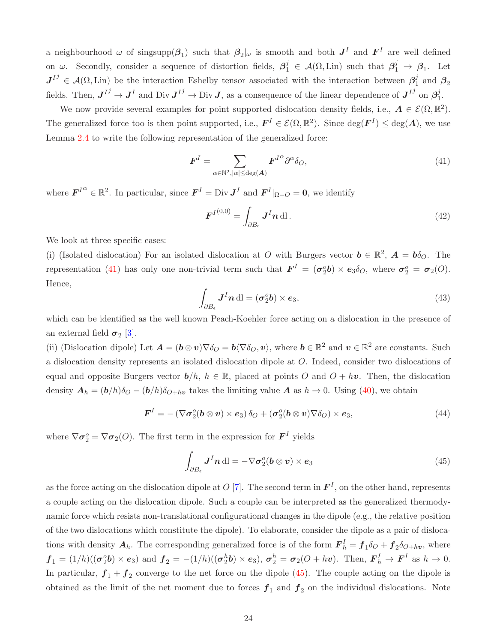a neighbourhood  $\omega$  of singsupp $(\beta_1)$  such that  $\beta_2|_{\omega}$  is smooth and both  $J^I$  and  $F^I$  are well defined on  $\omega$ . Secondly, consider a sequence of distortion fields,  $\beta_1^j \in \mathcal{A}(\Omega, \text{Lin})$  such that  $\beta_1^j \to \beta_1$ . Let  $J^{Ij} \in \mathcal{A}(\Omega, \text{Lin})$  be the interaction Eshelby tensor associated with the interaction between  $\beta_1^j$  $\frac{J}{1}$  and  $\boldsymbol{\beta}_2$ fields. Then,  $J^{I^j} \to J^I$  and Div  $J^{I^j} \to \text{Div } J$ , as a consequence of the linear dependence of  $J^{I^j}$  on  $\beta_1^j$  $\frac{j}{1}$ .

We now provide several examples for point supported dislocation density fields, i.e.,  $A \in \mathcal{E}(\Omega, \mathbb{R}^2)$ . The generalized force too is then point supported, i.e.,  $F^I \in \mathcal{E}(\Omega, \mathbb{R}^2)$ . Since  $\deg(F^I) \leq \deg(A)$ , we use Lemma [2.4](#page-7-3) to write the following representation of the generalized force:

<span id="page-23-0"></span>
$$
\boldsymbol{F}^{I} = \sum_{\alpha \in \mathbb{N}^{2}, |\alpha| \le \deg(\boldsymbol{A})} \boldsymbol{F}^{I^{\alpha}} \partial^{\alpha} \delta_{O},\tag{41}
$$

where  $\boldsymbol{F}^{I\alpha} \in \mathbb{R}^2$ . In particular, since  $\boldsymbol{F}^I = \text{Div } \boldsymbol{J}^I$  and  $\boldsymbol{F}^I|_{\Omega-O} = \boldsymbol{0}$ , we identify

$$
\boldsymbol{F}^{I^{(0,0)}} = \int_{\partial B_{\epsilon}} \boldsymbol{J}^{I} \boldsymbol{n} \, \mathrm{dl} \,. \tag{42}
$$

We look at three specific cases:

(i) (Isolated dislocation) For an isolated dislocation at O with Burgers vector  $\mathbf{b} \in \mathbb{R}^2$ ,  $\mathbf{A} = \mathbf{b}\delta_Q$ . The representation [\(41\)](#page-23-0) has only one non-trivial term such that  $\mathbf{F}^I = (\sigma_2^o b) \times \mathbf{e}_3 \delta_O$ , where  $\sigma_2^o = \sigma_2(O)$ . Hence,

$$
\int_{\partial B_{\epsilon}} \mathbf{J}^I \mathbf{n} \, \mathrm{dl} = (\boldsymbol{\sigma}_2^o \mathbf{b}) \times \boldsymbol{e}_3,\tag{43}
$$

which can be identified as the well known Peach-Koehler force acting on a dislocation in the presence of an external field  $\sigma_2$  [\[3\]](#page-27-0).

(ii) (Dislocation dipole) Let  $\mathbf{A} = (\mathbf{b} \otimes \mathbf{v}) \nabla \delta_O = \mathbf{b} \langle \nabla \delta_O, \mathbf{v} \rangle$ , where  $\mathbf{b} \in \mathbb{R}^2$  and  $\mathbf{v} \in \mathbb{R}^2$  are constants. Such a dislocation density represents an isolated dislocation dipole at O. Indeed, consider two dislocations of equal and opposite Burgers vector  $b/h$ ,  $h \in \mathbb{R}$ , placed at points O and  $O + hv$ . Then, the dislocation density  $A_h = (b/h)\delta_{O} - (b/h)\delta_{O+h\nu}$  takes the limiting value A as  $h \to 0$ . Using [\(40\)](#page-22-1), we obtain

$$
\boldsymbol{F}^{I} = -\left(\nabla \boldsymbol{\sigma}_{2}^{o}(\boldsymbol{b} \otimes \boldsymbol{v}) \times \boldsymbol{e}_{3}\right) \delta_{O} + \left(\boldsymbol{\sigma}_{2}^{o}(\boldsymbol{b} \otimes \boldsymbol{v}) \nabla \delta_{O}\right) \times \boldsymbol{e}_{3},\tag{44}
$$

where  $\nabla \sigma_2^o = \nabla \sigma_2(O)$ . The first term in the expression for  $\mathbf{F}^I$  yields

<span id="page-23-1"></span>
$$
\int_{\partial B_{\epsilon}} J^{I} n \, \mathrm{d} \mathrm{l} = -\nabla \sigma_{2}^{o} (b \otimes v) \times e_{3}
$$
\n(45)

as the force acting on the dislocation dipole at O [\[7\]](#page-27-8). The second term in  $\mathbf{F}^{I}$ , on the other hand, represents a couple acting on the dislocation dipole. Such a couple can be interpreted as the generalized thermodynamic force which resists non-translational configurational changes in the dipole (e.g., the relative position of the two dislocations which constitute the dipole). To elaborate, consider the dipole as a pair of dislocations with density  $A_h$ . The corresponding generalized force is of the form  $F_h^I = f_1 \delta_O + f_2 \delta_{O+hv}$ , where  $f_1 = (1/h)((\sigma_2^o b) \times \mathbf{e}_3)$  and  $f_2 = -(1/h)((\sigma_2^h b) \times \mathbf{e}_3), \sigma_2^h = \sigma_2(O + hv)$ . Then,  $\mathbf{F}_h^I \to \mathbf{F}^I$  as  $h \to 0$ . In particular,  $f_1 + f_2$  converge to the net force on the dipole  $(45)$ . The couple acting on the dipole is obtained as the limit of the net moment due to forces  $f_1$  and  $f_2$  on the individual dislocations. Note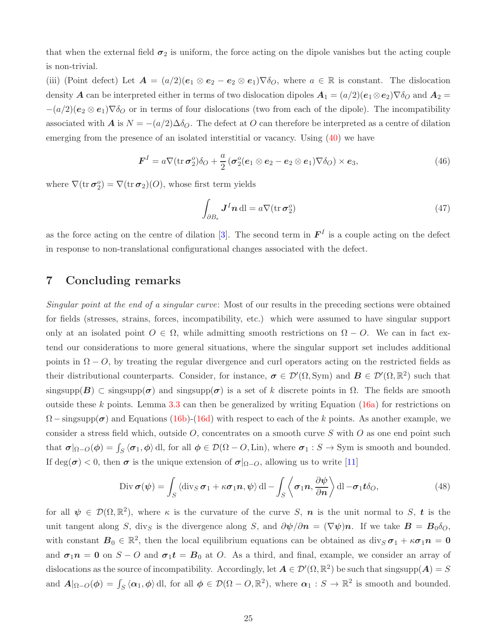that when the external field  $\sigma_2$  is uniform, the force acting on the dipole vanishes but the acting couple is non-trivial.

(iii) (Point defect) Let  $\mathbf{A} = (a/2)(\mathbf{e}_1 \otimes \mathbf{e}_2 - \mathbf{e}_2 \otimes \mathbf{e}_1) \nabla \delta_O$ , where  $a \in \mathbb{R}$  is constant. The dislocation density A can be interpreted either in terms of two dislocation dipoles  $A_1 = (a/2)(e_1 \otimes e_2) \nabla \delta_O$  and  $A_2 =$  $-(a/2)(e_2 \otimes e_1) \nabla \delta_O$  or in terms of four dislocations (two from each of the dipole). The incompatibility associated with A is  $N = -(a/2)\Delta\delta_O$ . The defect at O can therefore be interpreted as a centre of dilation emerging from the presence of an isolated interstitial or vacancy. Using [\(40\)](#page-22-1) we have

$$
\boldsymbol{F}^{I} = a \nabla (\text{tr}\,\boldsymbol{\sigma}_{2}^{o}) \delta_{O} + \frac{a}{2} (\boldsymbol{\sigma}_{2}^{o} (\boldsymbol{e}_{1} \otimes \boldsymbol{e}_{2} - \boldsymbol{e}_{2} \otimes \boldsymbol{e}_{1}) \nabla \delta_{O}) \times \boldsymbol{e}_{3}, \qquad (46)
$$

where  $\nabla(\text{tr }\boldsymbol{\sigma}_2^o) = \nabla(\text{tr }\boldsymbol{\sigma}_2)(O)$ , whose first term yields

$$
\int_{\partial B_{\epsilon}} \mathbf{J}^I \mathbf{n} \, \mathrm{dl} = a \nabla (\mathrm{tr} \, \boldsymbol{\sigma}_2^o) \tag{47}
$$

as the force acting on the centre of dilation [\[3\]](#page-27-0). The second term in  $\mathbf{F}^I$  is a couple acting on the defect in response to non-translational configurational changes associated with the defect.

# <span id="page-24-0"></span>7 Concluding remarks

Singular point at the end of a singular curve: Most of our results in the preceding sections were obtained for fields (stresses, strains, forces, incompatibility, etc.) which were assumed to have singular support only at an isolated point  $O \in \Omega$ , while admitting smooth restrictions on  $\Omega - O$ . We can in fact extend our considerations to more general situations, where the singular support set includes additional points in  $\Omega - O$ , by treating the regular divergence and curl operators acting on the restricted fields as their distributional counterparts. Consider, for instance,  $\sigma \in \mathcal{D}'(\Omega, \text{Sym})$  and  $B \in \mathcal{D}'(\Omega, \mathbb{R}^2)$  such that singsupp( $B$ ) ⊂ singsupp( $\sigma$ ) and singsupp( $\sigma$ ) is a set of k discrete points in  $\Omega$ . The fields are smooth outside these k points. Lemma [3.3](#page-13-0) can then be generalized by writing Equation  $(16a)$  for restrictions on  $\Omega$  – singsupp( $\sigma$ ) and Equations [\(16b\)](#page-13-4)-[\(16d\)](#page-13-3) with respect to each of the k points. As another example, we consider a stress field which, outside  $O$ , concentrates on a smooth curve S with  $O$  as one end point such that  $\sigma|_{\Omega-O}(\phi) = \int_S \langle \sigma_1, \phi \rangle$  dl, for all  $\phi \in \mathcal{D}(\Omega - O, \text{Lin})$ , where  $\sigma_1 : S \to \text{Sym}$  is smooth and bounded. If deg( $\sigma$ ) < 0, then  $\sigma$  is the unique extension of  $\sigma|_{\Omega-O}$ , allowing us to write [\[11\]](#page-27-13)

$$
\text{Div}\,\boldsymbol{\sigma}(\boldsymbol{\psi}) = \int_{S} \langle \operatorname{div}_{S} \boldsymbol{\sigma}_{1} + \kappa \boldsymbol{\sigma}_{1} \boldsymbol{n}, \boldsymbol{\psi} \rangle \operatorname{dl} - \int_{S} \langle \boldsymbol{\sigma}_{1} \boldsymbol{n}, \frac{\partial \boldsymbol{\psi}}{\partial \boldsymbol{n}} \rangle \operatorname{dl} - \boldsymbol{\sigma}_{1} \boldsymbol{t} \delta_{O}, \tag{48}
$$

for all  $\psi \in \mathcal{D}(\Omega,\mathbb{R}^2)$ , where  $\kappa$  is the curvature of the curve S, n is the unit normal to S, t is the unit tangent along S, divs is the divergence along S, and  $\partial \psi / \partial n = (\nabla \psi) n$ . If we take  $\mathbf{B} = \mathbf{B}_0 \delta_O$ , with constant  $B_0 \in \mathbb{R}^2$ , then the local equilibrium equations can be obtained as  $\text{div}_S \sigma_1 + \kappa \sigma_1 n = 0$ and  $\sigma_1$ n = 0 on S − O and  $\sigma_1$ t = B<sub>0</sub> at O. As a third, and final, example, we consider an array of dislocations as the source of incompatibility. Accordingly, let  $A \in \mathcal{D}'(\Omega,\mathbb{R}^2)$  be such that singsupp $(A) = S$ and  $A|_{\Omega-O}(\phi) = \int_S \langle \alpha_1, \phi \rangle$  dl, for all  $\phi \in \mathcal{D}(\Omega - O, \mathbb{R}^2)$ , where  $\alpha_1 : S \to \mathbb{R}^2$  is smooth and bounded.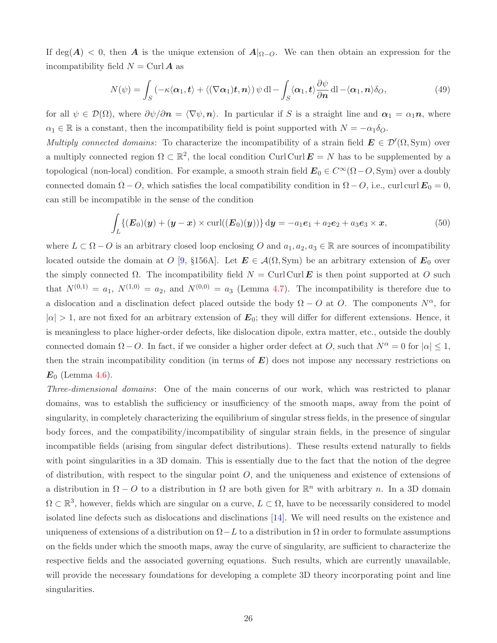If deg(A) < 0, then A is the unique extension of  $A|_{\Omega-O}$ . We can then obtain an expression for the incompatibility field  $N = \text{Curl } A$  as

$$
N(\psi) = \int_{S} \left( -\kappa \langle \alpha_1, t \rangle + \langle (\nabla \alpha_1)t, n \rangle \right) \psi \, \mathrm{d}l - \int_{S} \langle \alpha_1, t \rangle \frac{\partial \psi}{\partial n} \, \mathrm{d}l - \langle \alpha_1, n \rangle \delta_O,
$$
\n(49)

for all  $\psi \in \mathcal{D}(\Omega)$ , where  $\partial \psi / \partial n = \langle \nabla \psi, n \rangle$ . In particular if S is a straight line and  $\alpha_1 = \alpha_1 n$ , where  $\alpha_1 \in \mathbb{R}$  is a constant, then the incompatibility field is point supported with  $N = -\alpha_1 \delta_O$ .

Multiply connected domains: To characterize the incompatibility of a strain field  $\mathbf{E} \in \mathcal{D}'(\Omega, \text{Sym})$  over a multiply connected region  $\Omega \subset \mathbb{R}^2$ , the local condition Curl Curl  $\mathbf{E} = N$  has to be supplemented by a topological (non-local) condition. For example, a smooth strain field  $\mathbf{E}_0 \in C^{\infty}(\Omega - O, \text{Sym})$  over a doubly connected domain  $\Omega - O$ , which satisfies the local compatibility condition in  $\Omega - O$ , i.e., curl curl  $\mathbf{E}_0 = 0$ , can still be incompatible in the sense of the condition

$$
\int_{L} \{ (E_0)(y) + (y - x) \times \operatorname{curl}((E_0)(y)) \} dy = -a_1 e_1 + a_2 e_2 + a_3 e_3 \times x, \tag{50}
$$

where  $L \subset \Omega - O$  is an arbitrary closed loop enclosing O and  $a_1, a_2, a_3 \in \mathbb{R}$  are sources of incompatibility located outside the domain at O [\[9,](#page-27-14) §156A]. Let  $E \in \mathcal{A}(\Omega, \text{Sym})$  be an arbitrary extension of  $E_0$  over the simply connected  $\Omega$ . The incompatibility field  $N = \text{Curl Curl} \mathbf{E}$  is then point supported at O such that  $N^{(0,1)} = a_1$ ,  $N^{(1,0)} = a_2$ , and  $N^{(0,0)} = a_3$  (Lemma [4.7\)](#page-16-0). The incompatibility is therefore due to a dislocation and a disclination defect placed outside the body  $\Omega - O$  at O. The components  $N^{\alpha}$ , for  $|\alpha| > 1$ , are not fixed for an arbitrary extension of  $E_0$ ; they will differ for different extensions. Hence, it is meaningless to place higher-order defects, like dislocation dipole, extra matter, etc., outside the doubly connected domain  $\Omega - O$ . In fact, if we consider a higher order defect at O, such that  $N^{\alpha} = 0$  for  $|\alpha| \leq 1$ , then the strain incompatibility condition (in terms of  $E$ ) does not impose any necessary restrictions on  $E_0$  (Lemma [4.6\)](#page-16-3).

Three-dimensional domains: One of the main concerns of our work, which was restricted to planar domains, was to establish the sufficiency or insufficiency of the smooth maps, away from the point of singularity, in completely characterizing the equilibrium of singular stress fields, in the presence of singular body forces, and the compatibility/incompatibility of singular strain fields, in the presence of singular incompatible fields (arising from singular defect distributions). These results extend naturally to fields with point singularities in a 3D domain. This is essentially due to the fact that the notion of the degree of distribution, with respect to the singular point  $O$ , and the uniqueness and existence of extensions of a distribution in  $\Omega - O$  to a distribution in  $\Omega$  are both given for  $\mathbb{R}^n$  with arbitrary n. In a 3D domain  $\Omega \subset \mathbb{R}^3$ , however, fields which are singular on a curve,  $L \subset \Omega$ , have to be necessarily considered to model isolated line defects such as dislocations and disclinations [\[14\]](#page-27-15). We will need results on the existence and uniqueness of extensions of a distribution on  $\Omega - L$  to a distribution in  $\Omega$  in order to formulate assumptions on the fields under which the smooth maps, away the curve of singularity, are sufficient to characterize the respective fields and the associated governing equations. Such results, which are currently unavailable, will provide the necessary foundations for developing a complete 3D theory incorporating point and line singularities.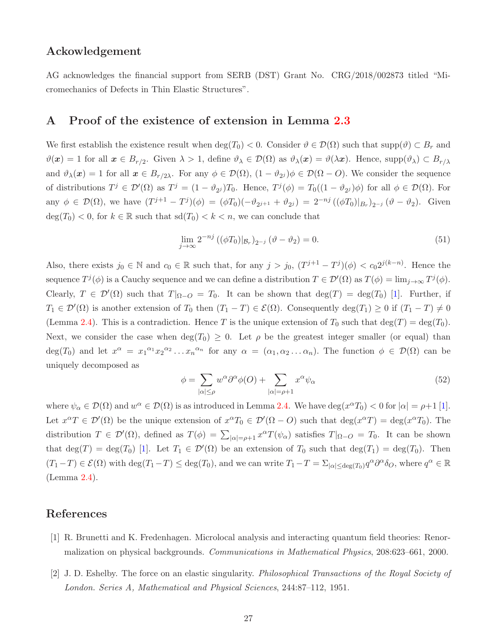### Ackowledgement

<span id="page-26-1"></span>AG acknowledges the financial support from SERB (DST) Grant No. CRG/2018/002873 titled "Micromechanics of Defects in Thin Elastic Structures".

### A Proof of the existence of extension in Lemma [2.3](#page-6-0)

We first establish the existence result when  $\deg(T_0) < 0$ . Consider  $\vartheta \in \mathcal{D}(\Omega)$  such that  $\text{supp}(\vartheta) \subset B_r$  and  $\vartheta(x) = 1$  for all  $x \in B_{r/2}$ . Given  $\lambda > 1$ , define  $\vartheta_{\lambda} \in \mathcal{D}(\Omega)$  as  $\vartheta_{\lambda}(x) = \vartheta(\lambda x)$ . Hence, supp $(\vartheta_{\lambda}) \subset B_{r/\lambda}$ and  $\vartheta_{\lambda}(\boldsymbol{x}) = 1$  for all  $\boldsymbol{x} \in B_{r/2\lambda}$ . For any  $\phi \in \mathcal{D}(\Omega)$ ,  $(1 - \vartheta_{2j})\phi \in \mathcal{D}(\Omega - O)$ . We consider the sequence of distributions  $T^j \in \mathcal{D}'(\Omega)$  as  $T^j = (1 - \vartheta_{2^j})T_0$ . Hence,  $T^j(\phi) = T_0((1 - \vartheta_{2^j})\phi)$  for all  $\phi \in \mathcal{D}(\Omega)$ . For any  $\phi \in \mathcal{D}(\Omega)$ , we have  $(T^{j+1} - T^j)(\phi) = (\phi T_0)(-\vartheta_{2^{j+1}} + \vartheta_{2^j}) = 2^{-nj} ((\phi T_0)|_{B_r})_{2^{-j}} (\vartheta - \vartheta_2)$ . Given  $\deg(T_0) < 0$ , for  $k \in \mathbb{R}$  such that  $\text{sd}(T_0) < k < n$ , we can conclude that

$$
\lim_{j \to \infty} 2^{-nj} \left( (\phi T_0)|_{\mathcal{B}_r} \right)_{2^{-j}} \left( \vartheta - \vartheta_2 \right) = 0. \tag{51}
$$

Also, there exists  $j_0 \in \mathbb{N}$  and  $c_0 \in \mathbb{R}$  such that, for any  $j > j_0$ ,  $(T^{j+1} - T^j)(\phi) < c_0 2^{j(k-n)}$ . Hence the sequence  $T^{j}(\phi)$  is a Cauchy sequence and we can define a distribution  $T \in \mathcal{D}'(\Omega)$  as  $T(\phi) = \lim_{j \to \infty} T^{j}(\phi)$ . Clearly,  $T \in \mathcal{D}'(\Omega)$  such that  $T|_{\Omega-O} = T_0$ . It can be shown that  $\deg(T) = \deg(T_0)$  [\[1\]](#page-26-0). Further, if  $T_1 \in \mathcal{D}'(\Omega)$  is another extension of  $T_0$  then  $(T_1 - T) \in \mathcal{E}(\Omega)$ . Consequently  $\deg(T_1) \geq 0$  if  $(T_1 - T) \neq 0$ (Lemma [2.4\)](#page-7-3). This is a contradiction. Hence T is the unique extension of  $T_0$  such that  $\deg(T) = \deg(T_0)$ . Next, we consider the case when  $\deg(T_0) \geq 0$ . Let  $\rho$  be the greatest integer smaller (or equal) than  $deg(T_0)$  and let  $x^{\alpha} = x_1^{\alpha_1} x_2^{\alpha_2} \dots x_n^{\alpha_n}$  for any  $\alpha = (\alpha_1, \alpha_2 \dots \alpha_n)$ . The function  $\phi \in \mathcal{D}(\Omega)$  can be uniquely decomposed as

$$
\phi = \sum_{|\alpha| \le \rho} w^{\alpha} \partial^{\alpha} \phi(O) + \sum_{|\alpha| = \rho + 1} x^{\alpha} \psi_{\alpha} \tag{52}
$$

where  $\psi_{\alpha} \in \mathcal{D}(\Omega)$  and  $w^{\alpha} \in \mathcal{D}(\Omega)$  is as introduced in Lemma [2.4.](#page-7-3) We have  $\deg(x^{\alpha}T_0) < 0$  for  $|\alpha| = \rho + 1$  [\[1\]](#page-26-0). Let  $x^{\alpha}T \in \mathcal{D}'(\Omega)$  be the unique extension of  $x^{\alpha}T_0 \in \mathcal{D}'(\Omega - O)$  such that  $\deg(x^{\alpha}T) = \deg(x^{\alpha}T_0)$ . The distribution  $T \in \mathcal{D}'(\Omega)$ , defined as  $T(\phi) = \sum_{|\alpha| = \rho + 1} x^{\alpha} T(\psi_{\alpha})$  satisfies  $T|_{\Omega - O} = T_0$ . It can be shown that  $\deg(T) = \deg(T_0)$  [\[1\]](#page-26-0). Let  $T_1 \in \mathcal{D}'(\Omega)$  be an extension of  $T_0$  such that  $\deg(T_1) = \deg(T_0)$ . Then  $(T_1-T) \in \mathcal{E}(\Omega)$  with  $\deg(T_1-T) \leq \deg(T_0)$ , and we can write  $T_1-T = \sum_{|\alpha| \leq \deg(T_0)} q^{\alpha} \partial^{\alpha} \delta_{O}$ , where  $q^{\alpha} \in \mathbb{R}$ (Lemma [2.4\)](#page-7-3).

# <span id="page-26-0"></span>References

- <span id="page-26-2"></span>[1] R. Brunetti and K. Fredenhagen. Microlocal analysis and interacting quantum field theories: Renormalization on physical backgrounds. Communications in Mathematical Physics, 208:623–661, 2000.
- [2] J. D. Eshelby. The force on an elastic singularity. Philosophical Transactions of the Royal Society of London. Series A, Mathematical and Physical Sciences, 244:87–112, 1951.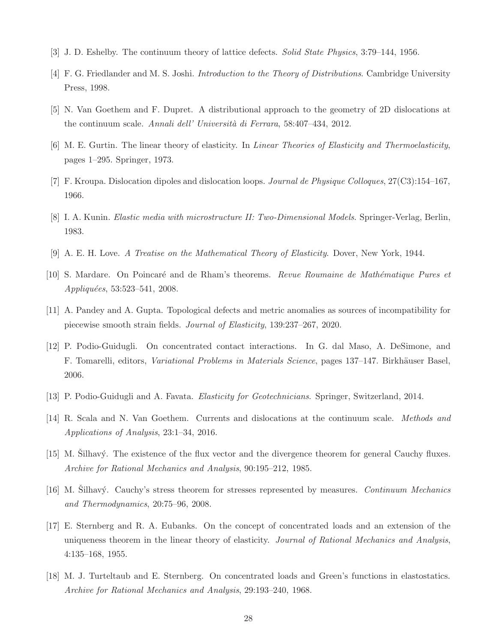- <span id="page-27-4"></span><span id="page-27-0"></span>[3] J. D. Eshelby. The continuum theory of lattice defects. Solid State Physics, 3:79–144, 1956.
- <span id="page-27-5"></span>[4] F. G. Friedlander and M. S. Joshi. Introduction to the Theory of Distributions. Cambridge University Press, 1998.
- <span id="page-27-1"></span>[5] N. Van Goethem and F. Dupret. A distributional approach to the geometry of 2D dislocations at the continuum scale. Annali dell' Università di Ferrara, 58:407–434, 2012.
- <span id="page-27-8"></span>[6] M. E. Gurtin. The linear theory of elasticity. In Linear Theories of Elasticity and Thermoelasticity, pages 1–295. Springer, 1973.
- <span id="page-27-2"></span>[7] F. Kroupa. Dislocation dipoles and dislocation loops. Journal de Physique Colloques, 27(C3):154–167, 1966.
- <span id="page-27-14"></span>[8] I. A. Kunin. Elastic media with microstructure II: Two-Dimensional Models. Springer-Verlag, Berlin, 1983.
- <span id="page-27-9"></span>[9] A. E. H. Love. A Treatise on the Mathematical Theory of Elasticity. Dover, New York, 1944.
- <span id="page-27-13"></span>[10] S. Mardare. On Poincaré and de Rham's theorems. Revue Roumaine de Mathématique Pures et Appliquées, 53:523-541, 2008.
- <span id="page-27-12"></span>[11] A. Pandey and A. Gupta. Topological defects and metric anomalies as sources of incompatibility for piecewise smooth strain fields. Journal of Elasticity, 139:237–267, 2020.
- [12] P. Podio-Guidugli. On concentrated contact interactions. In G. dal Maso, A. DeSimone, and F. Tomarelli, editors, Variational Problems in Materials Science, pages 137–147. Birkhäuser Basel, 2006.
- <span id="page-27-15"></span><span id="page-27-3"></span>[13] P. Podio-Guidugli and A. Favata. Elasticity for Geotechnicians. Springer, Switzerland, 2014.
- <span id="page-27-10"></span>[14] R. Scala and N. Van Goethem. Currents and dislocations at the continuum scale. Methods and Applications of Analysis, 23:1–34, 2016.
- <span id="page-27-11"></span>[15] M. Silhavý. The existence of the flux vector and the divergence theorem for general Cauchy fluxes. Archive for Rational Mechanics and Analysis, 90:195–212, 1985.
- <span id="page-27-6"></span>[16] M. Silhavý. Cauchy's stress theorem for stresses represented by measures. Continuum Mechanics and Thermodynamics, 20:75–96, 2008.
- [17] E. Sternberg and R. A. Eubanks. On the concept of concentrated loads and an extension of the uniqueness theorem in the linear theory of elasticity. Journal of Rational Mechanics and Analysis, 4:135–168, 1955.
- <span id="page-27-7"></span>[18] M. J. Turteltaub and E. Sternberg. On concentrated loads and Green's functions in elastostatics. Archive for Rational Mechanics and Analysis, 29:193–240, 1968.